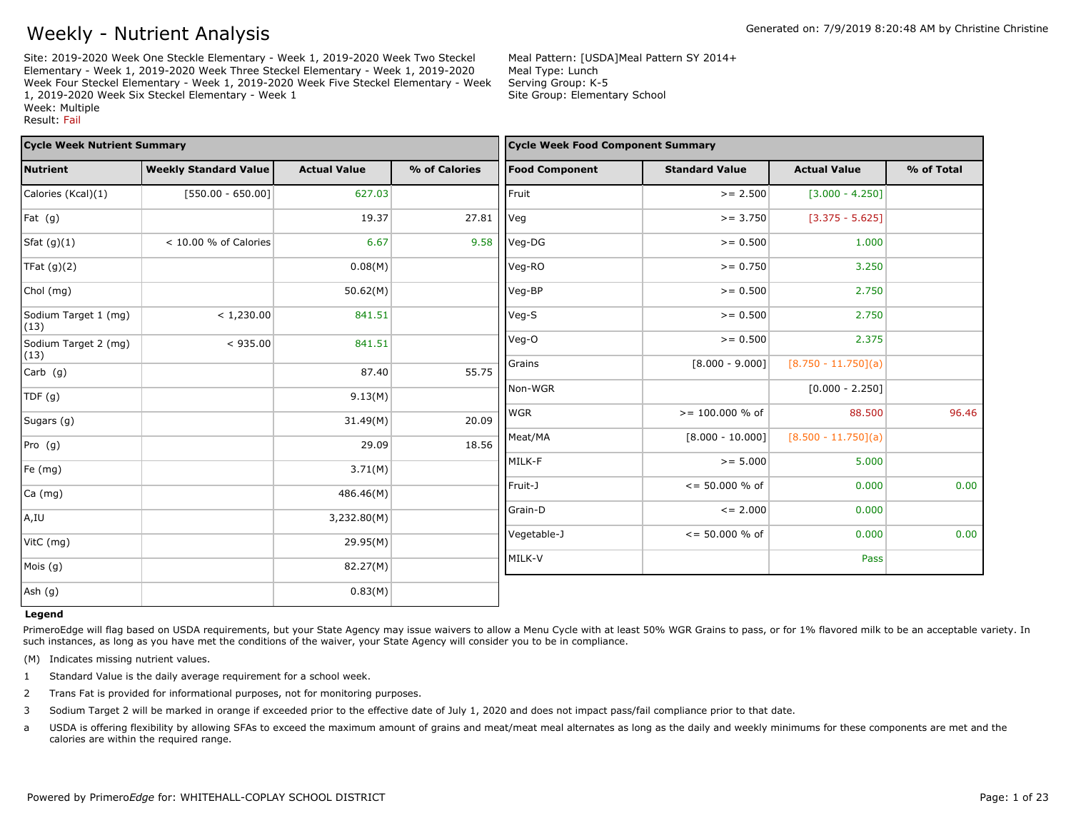Site: 2019-2020 Week One Steckle Elementary - Week 1, 2019-2020 Week Two Steckel Elementary - Week 1, 2019-2020 Week Three Steckel Elementary - Week 1, 2019-2020 Week Four Steckel Elementary - Week 1, 2019-2020 Week Five Steckel Elementary - Week 1, 2019-2020 Week Six Steckel Elementary - Week 1 Week: Multiple Result: Fail

Meal Pattern: [USDA]Meal Pattern SY 2014+ Meal Type: Lunch Serving Group: K-5 Site Group: Elementary School

| <b>Cycle Week Nutrient Summary</b> |                              |                     |               | <b>Cycle Week Food Component Summary</b> |                          |                       |            |
|------------------------------------|------------------------------|---------------------|---------------|------------------------------------------|--------------------------|-----------------------|------------|
| <b>Nutrient</b>                    | <b>Weekly Standard Value</b> | <b>Actual Value</b> | % of Calories | <b>Food Component</b>                    | <b>Standard Value</b>    | <b>Actual Value</b>   | % of Total |
| Calories (Kcal)(1)                 | $[550.00 - 650.00]$          | 627.03              |               | Fruit                                    | $>= 2.500$               | $[3.000 - 4.250]$     |            |
| Fat (g)                            |                              | 19.37               | 27.81         | Veg                                      | $>= 3.750$               | $[3.375 - 5.625]$     |            |
| Sfat $(g)(1)$                      | < 10.00 % of Calories        | 6.67                | 9.58          | Veg-DG                                   | $>= 0.500$               | 1.000                 |            |
| TFat $(g)(2)$                      |                              | 0.08(M)             |               | Veg-RO                                   | $>= 0.750$               | 3.250                 |            |
| Chol (mg)                          |                              | 50.62(M)            |               | Veg-BP                                   | $>= 0.500$               | 2.750                 |            |
| Sodium Target 1 (mg)<br>(13)       | < 1,230.00                   | 841.51              |               | Veg-S                                    | $>= 0.500$               | 2.750                 |            |
| Sodium Target 2 (mg)<br>(13)       | < 935.00                     | 841.51              |               | Veg-O                                    | $>= 0.500$               | 2.375                 |            |
| $Carb$ (g)                         |                              | 87.40               | 55.75         | Grains                                   | $[8.000 - 9.000]$        | $[8.750 - 11.750](a)$ |            |
| TDF(q)                             |                              | 9.13(M)             |               | Non-WGR                                  |                          | $[0.000 - 2.250]$     |            |
| Sugars (g)                         |                              | 31.49(M)            | 20.09         | <b>WGR</b>                               | $>= 100.000 %$ of        | 88.500                | 96.46      |
| Pro (g)                            |                              | 29.09               | 18.56         | Meat/MA                                  | $[8.000 - 10.000]$       | $[8.500 - 11.750](a)$ |            |
| Fe (mg)                            |                              | 3.71(M)             |               | MILK-F                                   | $>= 5.000$               | 5.000                 |            |
| Ca (mg)                            |                              | 486.46(M)           |               | Fruit-J                                  | $\epsilon$ = 50.000 % of | 0.000                 | 0.00       |
|                                    |                              | 3,232.80(M)         |               | Grain-D                                  | $\leq$ = 2.000           | 0.000                 |            |
| A,IU                               |                              |                     |               | Vegetable-J                              | $\epsilon$ = 50.000 % of | 0.000                 | 0.00       |
| VitC (mg)                          |                              | 29.95(M)            |               |                                          |                          |                       |            |
| Mois (g)                           |                              | 82.27(M)            |               | MILK-V                                   |                          | Pass                  |            |
| Ash (g)                            |                              | 0.83(M)             |               |                                          |                          |                       |            |

#### **Legend**

PrimeroEdge will flag based on USDA requirements, but your State Agency may issue waivers to allow a Menu Cycle with at least 50% WGR Grains to pass, or for 1% flavored milk to be an acceptable variety. In such instances, as long as you have met the conditions of the waiver, your State Agency will consider you to be in compliance.

(M) Indicates missing nutrient values.

- 1 Standard Value is the daily average requirement for a school week.
- 2 Trans Fat is provided for informational purposes, not for monitoring purposes.
- 3 Sodium Target 2 will be marked in orange if exceeded prior to the effective date of July 1, 2020 and does not impact pass/fail compliance prior to that date.
- a USDA is offering flexibility by allowing SFAs to exceed the maximum amount of grains and meat/meat meal alternates as long as the daily and weekly minimums for these components are met and the calories are within the required range.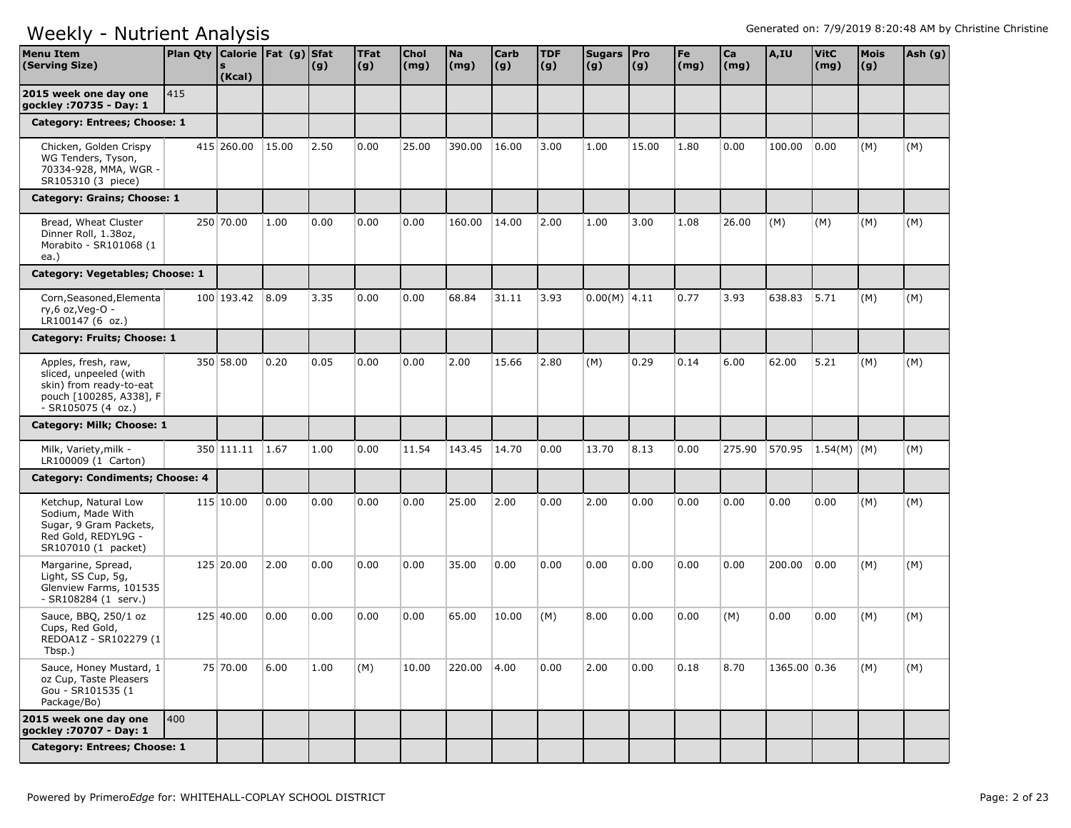| <b>Menu Item</b><br>(Serving Size)                                                                                        | Plan Qty Calorie   Fat (g) Sfat | (Kcal)          |       | (g)  | <b>TFat</b><br>(g) | <b>Chol</b><br>$\mathsf{(mg)}$ | <b>Na</b><br>(mg) | <b>Carb</b><br>(g) | <b>TDF</b><br>(g) | Sugars   Pro<br>(g) | $\vert (g) \vert$ | Fe<br>$\mathsf{(mg)}$ | Ca<br>(mg) | A,IU         | <b>VitC</b><br>(mg) | <b>Mois</b><br>(g) | Ash (g) |
|---------------------------------------------------------------------------------------------------------------------------|---------------------------------|-----------------|-------|------|--------------------|--------------------------------|-------------------|--------------------|-------------------|---------------------|-------------------|-----------------------|------------|--------------|---------------------|--------------------|---------|
| 2015 week one day one<br>gockley: 70735 - Day: 1                                                                          | 1415                            |                 |       |      |                    |                                |                   |                    |                   |                     |                   |                       |            |              |                     |                    |         |
| Category: Entrees; Choose: 1                                                                                              |                                 |                 |       |      |                    |                                |                   |                    |                   |                     |                   |                       |            |              |                     |                    |         |
| Chicken, Golden Crispy<br>WG Tenders, Tyson,<br>70334-928, MMA, WGR -<br>SR105310 (3 piece)                               |                                 | 415 260.00      | 15.00 | 2.50 | 0.00               | 25.00                          | 390.00            | 16.00              | 3.00              | 1.00                | 15.00             | 1.80                  | 0.00       | 100.00       | 0.00                | (M)                | (M)     |
| Category: Grains; Choose: 1                                                                                               |                                 |                 |       |      |                    |                                |                   |                    |                   |                     |                   |                       |            |              |                     |                    |         |
| Bread, Wheat Cluster<br>Dinner Roll, 1.38oz,<br>Morabito - SR101068 (1<br>ea.)                                            |                                 | 250 70.00       | 1.00  | 0.00 | 0.00               | 0.00                           | 160.00            | 14.00              | 2.00              | 1.00                | 3.00              | 1.08                  | 26.00      | (M)          | (M)                 | (M)                | (M)     |
| Category: Vegetables; Choose: 1                                                                                           |                                 |                 |       |      |                    |                                |                   |                    |                   |                     |                   |                       |            |              |                     |                    |         |
| Corn, Seasoned, Elementa<br>ry,6 oz, Veg-O -<br>LR100147 (6 oz.)                                                          |                                 | 100 193.42 8.09 |       | 3.35 | 0.00               | 0.00                           | 68.84             | 31.11              | 3.93              | $0.00(M)$ 4.11      |                   | 0.77                  | 3.93       | 638.83 5.71  |                     | (M)                | (M)     |
| Category: Fruits; Choose: 1                                                                                               |                                 |                 |       |      |                    |                                |                   |                    |                   |                     |                   |                       |            |              |                     |                    |         |
| Apples, fresh, raw,<br>sliced, unpeeled (with<br>skin) from ready-to-eat<br>pouch [100285, A338], F<br>$-SR105075(4 oz.)$ |                                 | 350 58.00       | 0.20  | 0.05 | 0.00               | 0.00                           | 2.00              | 15.66              | 2.80              | (M)                 | 0.29              | 0.14                  | 6.00       | 62.00        | 5.21                | (M)                | (M)     |
| Category: Milk; Choose: 1                                                                                                 |                                 |                 |       |      |                    |                                |                   |                    |                   |                     |                   |                       |            |              |                     |                    |         |
| Milk, Variety, milk -<br>LR100009 (1 Carton)                                                                              |                                 | 350 111.11 1.67 |       | 1.00 | 0.00               | 11.54                          | 143.45            | 14.70              | 0.00              | 13.70               | 8.13              | 0.00                  | 275.90     |              | 570.95 1.54(M) (M)  |                    | (M)     |
| Category: Condiments; Choose: 4                                                                                           |                                 |                 |       |      |                    |                                |                   |                    |                   |                     |                   |                       |            |              |                     |                    |         |
| Ketchup, Natural Low<br>Sodium, Made With<br>Sugar, 9 Gram Packets,<br>Red Gold, REDYL9G -<br>SR107010 (1 packet)         |                                 | 115 10.00       | 0.00  | 0.00 | 0.00               | 0.00                           | 25.00             | 2.00               | 0.00              | 2.00                | 0.00              | 0.00                  | 0.00       | 0.00         | 0.00                | (M)                | (M)     |
| Margarine, Spread,<br>Light, SS Cup, 5g,<br>Glenview Farms, 101535<br>- SR108284 (1 serv.)                                |                                 | 125 20.00       | 2.00  | 0.00 | 0.00               | 0.00                           | 35.00             | 0.00               | 0.00              | 0.00                | 0.00              | 0.00                  | 0.00       | 200.00       | 0.00                | (M)                | (M)     |
| Sauce, BBQ, 250/1 oz<br>Cups, Red Gold,<br>REDOA1Z - SR102279 (1)<br>Tbsp.)                                               |                                 | 125 40.00       | 0.00  | 0.00 | 0.00               | 0.00                           | 65.00             | 10.00              | (M)               | 8.00                | 0.00              | 0.00                  | (M)        | 0.00         | 0.00                | (M)                | (M)     |
| Sauce, Honey Mustard, 1<br>oz Cup, Taste Pleasers<br>Gou - SR101535 (1<br>Package/Bo)                                     |                                 | 75 70.00        | 6.00  | 1.00 | (M)                | 10.00                          | 220.00            | 4.00               | 0.00              | 2.00                | 0.00              | 0.18                  | 8.70       | 1365.00 0.36 |                     | (M)                | (M)     |
| 2015 week one day one<br>gockley : 70707 - Day: 1                                                                         | 1400                            |                 |       |      |                    |                                |                   |                    |                   |                     |                   |                       |            |              |                     |                    |         |
| Category: Entrees; Choose: 1                                                                                              |                                 |                 |       |      |                    |                                |                   |                    |                   |                     |                   |                       |            |              |                     |                    |         |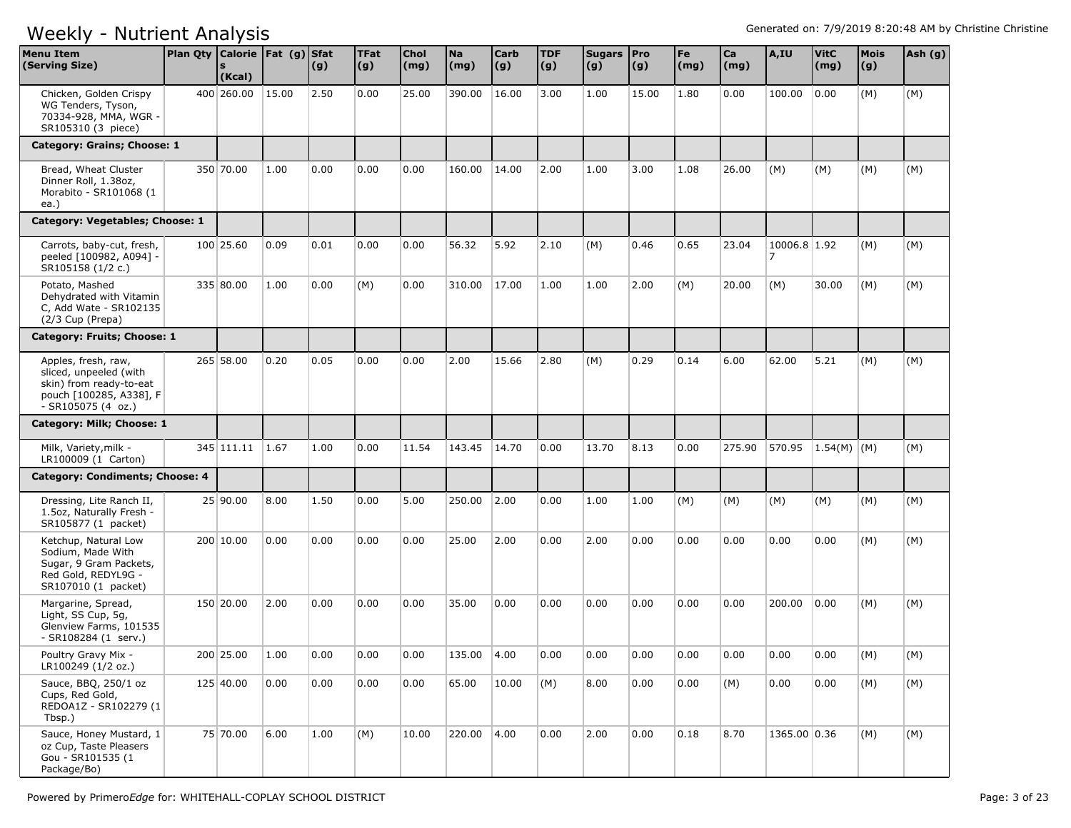| <b>Menu Item</b><br>(Serving Size)                                                                                        | Plan Qty   Calorie   Fat (g)   Sfat | (Kcal)      |       | (g)  | <b>TFat</b><br> (g) | Chol<br>(mg) | <b>Na</b><br>(mg) | <b>Carb</b><br> (g) | <b>TDF</b><br>(g) | Sugars Pro<br>(g) | (g)   | Fe<br>$\mathsf{(mg)}$ | Ca<br>(mg) | A,IU                           | <b>VitC</b><br>(mg) | <b>Mois</b><br>(g) | Ash (g) |
|---------------------------------------------------------------------------------------------------------------------------|-------------------------------------|-------------|-------|------|---------------------|--------------|-------------------|---------------------|-------------------|-------------------|-------|-----------------------|------------|--------------------------------|---------------------|--------------------|---------|
| Chicken, Golden Crispy<br>WG Tenders, Tyson,<br>70334-928, MMA, WGR -<br>SR105310 (3 piece)                               |                                     | 400 260,00  | 15.00 | 2.50 | 0.00                | 25.00        | 390.00            | 16.00               | 3.00              | 1.00              | 15.00 | 1.80                  | 0.00       | 100.00                         | 0.00                | (M)                | (M)     |
| Category: Grains; Choose: 1                                                                                               |                                     |             |       |      |                     |              |                   |                     |                   |                   |       |                       |            |                                |                     |                    |         |
| Bread, Wheat Cluster<br>Dinner Roll, 1.38oz,<br>Morabito - SR101068 (1<br>ea.)                                            |                                     | 350 70.00   | 1.00  | 0.00 | 0.00                | 0.00         | 160.00            | 14.00               | 2.00              | 1.00              | 3.00  | 1.08                  | 26.00      | (M)                            | (M)                 | (M)                | (M)     |
| Category: Vegetables; Choose: 1                                                                                           |                                     |             |       |      |                     |              |                   |                     |                   |                   |       |                       |            |                                |                     |                    |         |
| Carrots, baby-cut, fresh,<br>peeled [100982, A094] -<br>SR105158 (1/2 c.)                                                 |                                     | 100 25.60   | 0.09  | 0.01 | 0.00                | 0.00         | 56.32             | 5.92                | 2.10              | (M)               | 0.46  | 0.65                  | 23.04      | 10006.8 1.92<br>$\overline{7}$ |                     | (M)                | (M)     |
| Potato, Mashed<br>Dehydrated with Vitamin<br>C, Add Wate - SR102135<br>(2/3 Cup (Prepa)                                   |                                     | 335 80.00   | 1.00  | 0.00 | (M)                 | 0.00         | 310.00            | 17.00               | 1.00              | 1.00              | 2.00  | (M)                   | 20.00      | (M)                            | 30.00               | (M)                | (M)     |
| Category: Fruits; Choose: 1                                                                                               |                                     |             |       |      |                     |              |                   |                     |                   |                   |       |                       |            |                                |                     |                    |         |
| Apples, fresh, raw,<br>sliced, unpeeled (with<br>skin) from ready-to-eat<br>pouch [100285, A338], F<br>$-SR105075(4 oz.)$ |                                     | $265$ 58.00 | 0.20  | 0.05 | 0.00                | 0.00         | 2.00              | 15.66               | 2.80              | (M)               | 0.29  | 0.14                  | 6.00       | 62.00                          | 5.21                | (M)                | (M)     |
| Category: Milk; Choose: 1                                                                                                 |                                     |             |       |      |                     |              |                   |                     |                   |                   |       |                       |            |                                |                     |                    |         |
| Milk, Variety, milk -<br>LR100009 (1 Carton)                                                                              |                                     | 345 111.11  | 1.67  | 1.00 | 0.00                | 11.54        | 143.45            | 14.70               | 0.00              | 13.70             | 8.13  | 0.00                  | 275.90     | 570.95                         | $ 1.54(M) $ (M)     |                    | (M)     |
| Category: Condiments; Choose: 4                                                                                           |                                     |             |       |      |                     |              |                   |                     |                   |                   |       |                       |            |                                |                     |                    |         |
| Dressing, Lite Ranch II,<br>1.5oz, Naturally Fresh -<br>SR105877 (1 packet)                                               |                                     | 25 90.00    | 8.00  | 1.50 | 0.00                | 5.00         | 250.00            | 2.00                | 0.00              | 1.00              | 1.00  | (M)                   | (M)        | (M)                            | (M)                 | (M)                | (M)     |
| Ketchup, Natural Low<br>Sodium, Made With<br>Sugar, 9 Gram Packets,<br>Red Gold, REDYL9G -<br>SR107010 (1 packet)         |                                     | 200 10.00   | 0.00  | 0.00 | 0.00                | 0.00         | 25.00             | 2.00                | 0.00              | 2.00              | 0.00  | 0.00                  | 0.00       | 0.00                           | 0.00                | (M)                | (M)     |
| Margarine, Spread,<br>Light, SS Cup, 5g,<br>Glenview Farms, 101535<br>- SR108284 (1 serv.)                                |                                     | 150 20.00   | 2.00  | 0.00 | 0.00                | 0.00         | 35.00             | 0.00                | 0.00              | 0.00              | 0.00  | 0.00                  | 0.00       | 200.00                         | 0.00                | (M)                | (M)     |
| Poultry Gravy Mix -<br>LR100249 (1/2 oz.)                                                                                 |                                     | 200 25.00   | 1.00  | 0.00 | 0.00                | 0.00         | 135.00 4.00       |                     | 0.00              | 0.00              | 0.00  | 0.00                  | 0.00       | 0.00                           | 0.00                | (M)                | (M)     |
| Sauce, BBQ, 250/1 oz<br>Cups, Red Gold,<br>REDOA1Z - SR102279 (1<br>Tbsp.)                                                |                                     | 125 40.00   | 0.00  | 0.00 | 0.00                | 0.00         | 65.00             | 10.00               | (M)               | 8.00              | 0.00  | 0.00                  | (M)        | 0.00                           | 0.00                | (M)                | (M)     |
| Sauce, Honey Mustard, 1<br>oz Cup, Taste Pleasers<br>Gou - SR101535 (1<br>Package/Bo)                                     |                                     | 75 70.00    | 6.00  | 1.00 | (M)                 | 10.00        | 220.00            | 4.00                | 0.00              | 2.00              | 0.00  | 0.18                  | 8.70       | 1365.00 0.36                   |                     | (M)                | (M)     |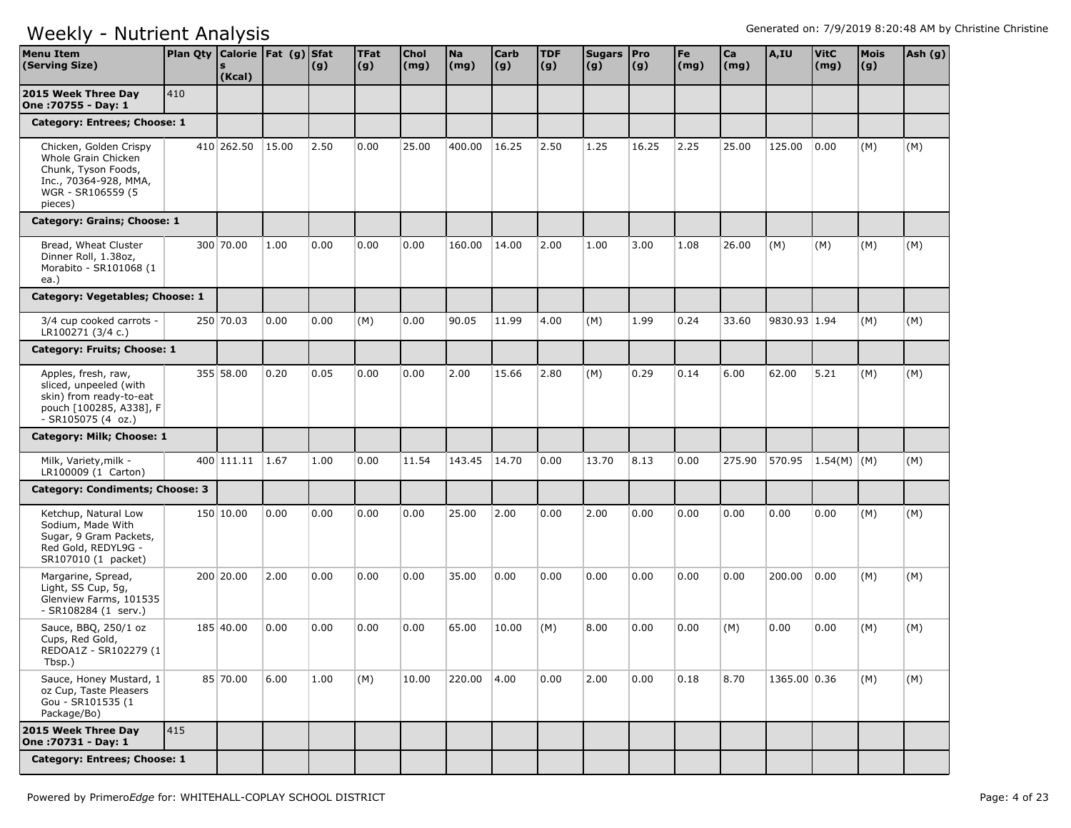| <b>Menu Item</b><br>(Serving Size)                                                                                            | Plan Qty Calorie   Fat (g) Sfat | <b>S</b><br>(Kcal) |       | (g)  | <b>TFat</b><br>(g) | <b>Chol</b><br>(mg) | <b>Na</b><br>(mg) | <b>Carb</b><br>(g) | <b>TDF</b><br>(g) | Sugars Pro<br>(g) | $\vert$ (g) | Fe<br>$\mathsf{(mg)}$ | Ca<br>(mg) | A,IU         | <b>VitC</b><br>(mg) | Mois<br>(g) | Ash (g) |
|-------------------------------------------------------------------------------------------------------------------------------|---------------------------------|--------------------|-------|------|--------------------|---------------------|-------------------|--------------------|-------------------|-------------------|-------------|-----------------------|------------|--------------|---------------------|-------------|---------|
| 2015 Week Three Day<br>One: 70755 - Day: 1                                                                                    | 410                             |                    |       |      |                    |                     |                   |                    |                   |                   |             |                       |            |              |                     |             |         |
| Category: Entrees; Choose: 1                                                                                                  |                                 |                    |       |      |                    |                     |                   |                    |                   |                   |             |                       |            |              |                     |             |         |
| Chicken, Golden Crispy<br>Whole Grain Chicken<br>Chunk, Tyson Foods,<br>Inc., 70364-928, MMA,<br>WGR - SR106559 (5<br>pieces) |                                 | 410 262.50         | 15.00 | 2.50 | 0.00               | 25.00               | 400.00            | 16.25              | 2.50              | 1.25              | 16.25       | 2.25                  | 25.00      | 125.00       | 0.00                | (M)         | (M)     |
| Category: Grains; Choose: 1                                                                                                   |                                 |                    |       |      |                    |                     |                   |                    |                   |                   |             |                       |            |              |                     |             |         |
| Bread, Wheat Cluster<br>Dinner Roll, 1.38oz,<br>Morabito - SR101068 (1<br>ea.)                                                |                                 | 300 70.00          | 1.00  | 0.00 | 0.00               | 0.00                | 160.00            | 14.00              | 2.00              | 1.00              | 3.00        | 1.08                  | 26.00      | (M)          | (M)                 | (M)         | (M)     |
| Category: Vegetables; Choose: 1                                                                                               |                                 |                    |       |      |                    |                     |                   |                    |                   |                   |             |                       |            |              |                     |             |         |
| 3/4 cup cooked carrots -<br>LR100271 (3/4 c.)                                                                                 |                                 | 250 70.03          | 0.00  | 0.00 | (M)                | 0.00                | 90.05             | 11.99              | 4.00              | (M)               | 1.99        | 0.24                  | 33.60      | 9830.93 1.94 |                     | (M)         | (M)     |
| Category: Fruits; Choose: 1                                                                                                   |                                 |                    |       |      |                    |                     |                   |                    |                   |                   |             |                       |            |              |                     |             |         |
| Apples, fresh, raw,<br>sliced, unpeeled (with<br>skin) from ready-to-eat<br>pouch [100285, A338], F<br>$-SR105075(4 oz.)$     |                                 | 355 58.00          | 0.20  | 0.05 | 0.00               | 0.00                | 2.00              | 15.66              | 2.80              | (M)               | 0.29        | 0.14                  | 6.00       | 62.00        | 5.21                | (M)         | (M)     |
| Category: Milk; Choose: 1                                                                                                     |                                 |                    |       |      |                    |                     |                   |                    |                   |                   |             |                       |            |              |                     |             |         |
| Milk, Variety, milk -<br>LR100009 (1 Carton)                                                                                  |                                 | 400 111.11 1.67    |       | 1.00 | 0.00               | 11.54               | 143.45            | 14.70              | 0.00              | 13.70             | 8.13        | 0.00                  | 275.90     |              | 570.95 1.54(M) (M)  |             | (M)     |
| Category: Condiments; Choose: 3                                                                                               |                                 |                    |       |      |                    |                     |                   |                    |                   |                   |             |                       |            |              |                     |             |         |
| Ketchup, Natural Low<br>Sodium, Made With<br>Sugar, 9 Gram Packets,<br>Red Gold, REDYL9G -<br>SR107010 (1 packet)             |                                 | 150 10.00          | 0.00  | 0.00 | 0.00               | 0.00                | 25.00             | 2.00               | 0.00              | 2.00              | 0.00        | 0.00                  | 0.00       | 0.00         | 0.00                | (M)         | (M)     |
| Margarine, Spread,<br>Light, SS Cup, 5g,<br>Glenview Farms, 101535<br>- SR108284 (1 serv.)                                    |                                 | 200 20.00          | 2.00  | 0.00 | 0.00               | 0.00                | 35.00             | 0.00               | 0.00              | 0.00              | 0.00        | 0.00                  | 0.00       | 200.00       | 0.00                | (M)         | (M)     |
| Sauce, BBQ, 250/1 oz<br>Cups, Red Gold,<br>REDOA1Z - SR102279 (1<br>Tbsp.)                                                    |                                 | 185 40.00          | 0.00  | 0.00 | 0.00               | 0.00                | 65.00             | 10.00              | (M)               | 8.00              | 0.00        | 0.00                  | (M)        | 0.00         | 0.00                | (M)         | (M)     |
| Sauce, Honey Mustard, 1<br>oz Cup, Taste Pleasers<br>Gou - SR101535 (1<br>Package/Bo)                                         |                                 | 85 70.00           | 6.00  | 1.00 | (M)                | 10.00               | 220.00 4.00       |                    | 0.00              | 2.00              | 0.00        | 0.18                  | 8.70       | 1365.00 0.36 |                     | (M)         | (M)     |
| 2015 Week Three Day<br>One : 70731 - Day: 1                                                                                   | 415                             |                    |       |      |                    |                     |                   |                    |                   |                   |             |                       |            |              |                     |             |         |
| Category: Entrees; Choose: 1                                                                                                  |                                 |                    |       |      |                    |                     |                   |                    |                   |                   |             |                       |            |              |                     |             |         |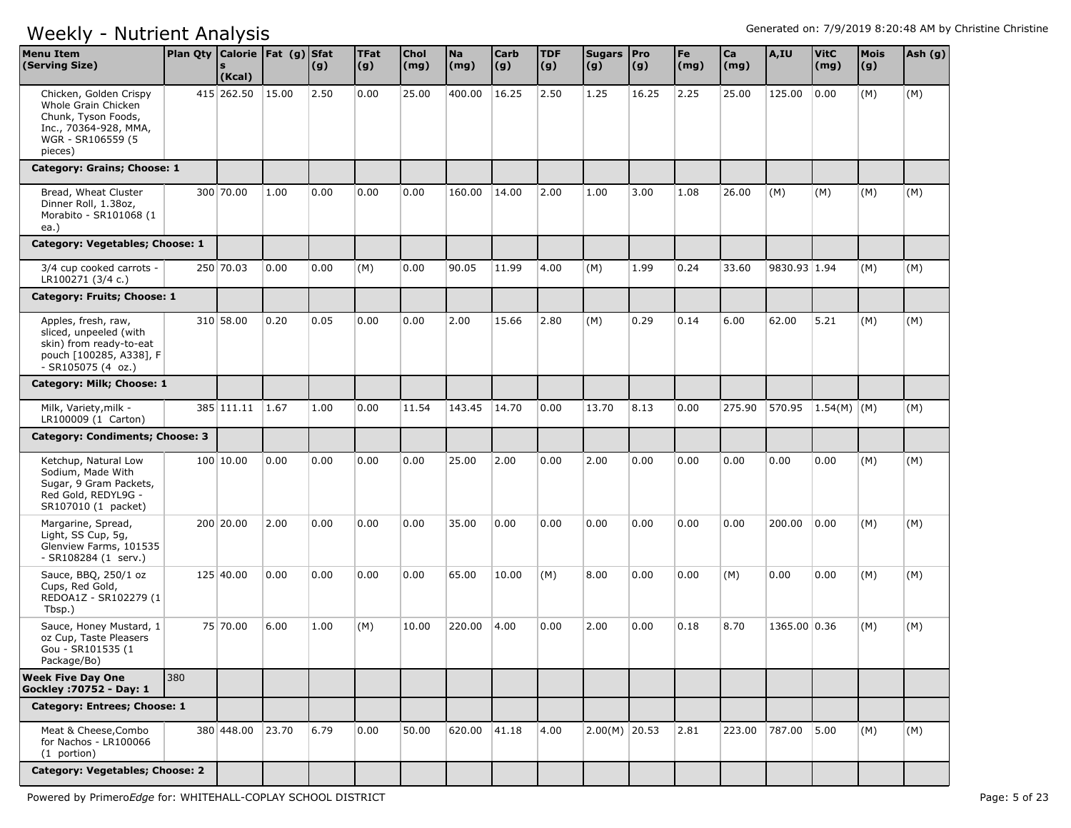| <b>Menu Item</b><br>(Serving Size)                                                                                             | Plan Qty   Calorie   Fat (g)   Sfat | (Kcal)     |       | (g)  | <b>TFat</b><br>(g) | Chol<br>(mg) | <b>Na</b><br>(mg) | Carb<br>$\vert$ (g) | <b>TDF</b><br>(g) | Sugars Pro<br>(g) | $\vert (g) \vert$ | Fe<br>$\mathsf{(mg)}$ | Ca<br>(mg) | A,IU         | <b>VitC</b><br>(mg) | <b>Mois</b><br>(g) | Ash (g) |
|--------------------------------------------------------------------------------------------------------------------------------|-------------------------------------|------------|-------|------|--------------------|--------------|-------------------|---------------------|-------------------|-------------------|-------------------|-----------------------|------------|--------------|---------------------|--------------------|---------|
| Chicken, Golden Crispy<br>Whole Grain Chicken<br>Chunk, Tyson Foods,<br>Inc., 70364-928, MMA,<br>WGR - SR106559 (5)<br>pieces) |                                     | 415 262.50 | 15.00 | 2.50 | 0.00               | 25.00        | 400.00            | 16.25               | 2.50              | 1.25              | 16.25             | 2.25                  | 25.00      | 125.00       | 0.00                | (M)                | (M)     |
| Category: Grains; Choose: 1                                                                                                    |                                     |            |       |      |                    |              |                   |                     |                   |                   |                   |                       |            |              |                     |                    |         |
| Bread, Wheat Cluster<br>Dinner Roll, 1.38oz,<br>Morabito - SR101068 (1<br>ea.)                                                 |                                     | 300 70.00  | 1.00  | 0.00 | 0.00               | 0.00         | 160.00            | 14.00               | 2.00              | 1.00              | 3.00              | 1.08                  | 26.00      | (M)          | (M)                 | (M)                | (M)     |
| Category: Vegetables; Choose: 1                                                                                                |                                     |            |       |      |                    |              |                   |                     |                   |                   |                   |                       |            |              |                     |                    |         |
| 3/4 cup cooked carrots -<br>LR100271 (3/4 c.)                                                                                  |                                     | 250 70.03  | 0.00  | 0.00 | (M)                | 0.00         | 90.05             | 11.99               | 4.00              | (M)               | 1.99              | 0.24                  | 33.60      | 9830.93 1.94 |                     | (M)                | (M)     |
| Category: Fruits; Choose: 1                                                                                                    |                                     |            |       |      |                    |              |                   |                     |                   |                   |                   |                       |            |              |                     |                    |         |
| Apples, fresh, raw,<br>sliced, unpeeled (with<br>skin) from ready-to-eat<br>pouch [100285, A338], F<br>$-SR105075(4 oz.)$      |                                     | 310 58.00  | 0.20  | 0.05 | 0.00               | 0.00         | 2.00              | 15.66               | 2.80              | (M)               | 0.29              | 0.14                  | 6.00       | 62.00        | 5.21                | (M)                | (M)     |
| Category: Milk; Choose: 1                                                                                                      |                                     |            |       |      |                    |              |                   |                     |                   |                   |                   |                       |            |              |                     |                    |         |
| Milk, Variety, milk -<br>LR100009 (1 Carton)                                                                                   |                                     | 385 111.11 | 1.67  | 1.00 | 0.00               | 11.54        | 143.45            | 14.70               | 0.00              | 13.70             | 8.13              | 0.00                  | 275.90     | 570.95       | $ 1.54(M) $ (M)     |                    | (M)     |
| <b>Category: Condiments; Choose: 3</b>                                                                                         |                                     |            |       |      |                    |              |                   |                     |                   |                   |                   |                       |            |              |                     |                    |         |
| Ketchup, Natural Low<br>Sodium, Made With<br>Sugar, 9 Gram Packets,<br>Red Gold, REDYL9G -<br>SR107010 (1 packet)              |                                     | 100 10.00  | 0.00  | 0.00 | 0.00               | 0.00         | 25.00             | 2.00                | 0.00              | 2.00              | 0.00              | 0.00                  | 0.00       | 0.00         | 0.00                | (M)                | (M)     |
| Margarine, Spread,<br>Light, SS Cup, 5g,<br>Glenview Farms, 101535<br>- SR108284 (1 serv.)                                     |                                     | 200 20.00  | 2.00  | 0.00 | 0.00               | 0.00         | 35.00             | 0.00                | 0.00              | 0.00              | 0.00              | 0.00                  | 0.00       | 200.00       | 0.00                | (M)                | (M)     |
| Sauce, BBQ, 250/1 oz<br>Cups, Red Gold,<br>REDOA1Z - SR102279 (1<br>Tbsp.)                                                     |                                     | 125 40.00  | 0.00  | 0.00 | 0.00               | 0.00         | 65.00             | 10.00               | (M)               | 8.00              | 0.00              | 0.00                  | (M)        | 0.00         | 0.00                | (M)                | (M)     |
| Sauce, Honey Mustard, 1<br>oz Cup, Taste Pleasers<br>Gou - SR101535 (1<br>Package/Bo)                                          |                                     | 75 70.00   | 6.00  | 1.00 | (M)                | 10.00        | 220.00            | 4.00                | 0.00              | 2.00              | 0.00              | 0.18                  | 8.70       | 1365.00 0.36 |                     | (M)                | (M)     |
| <b>Week Five Day One</b><br>Gockley : 70752 - Day: 1                                                                           | 380                                 |            |       |      |                    |              |                   |                     |                   |                   |                   |                       |            |              |                     |                    |         |
| Category: Entrees; Choose: 1                                                                                                   |                                     |            |       |      |                    |              |                   |                     |                   |                   |                   |                       |            |              |                     |                    |         |
| Meat & Cheese, Combo<br>for Nachos - LR100066<br>(1 portion)                                                                   |                                     | 380 448.00 | 23.70 | 6.79 | 0.00               | 50.00        | 620.00            | 41.18               | 4.00              | $2.00(M)$ 20.53   |                   | 2.81                  | 223.00     | 787.00 5.00  |                     | (M)                | (M)     |
| Category: Vegetables; Choose: 2                                                                                                |                                     |            |       |      |                    |              |                   |                     |                   |                   |                   |                       |            |              |                     |                    |         |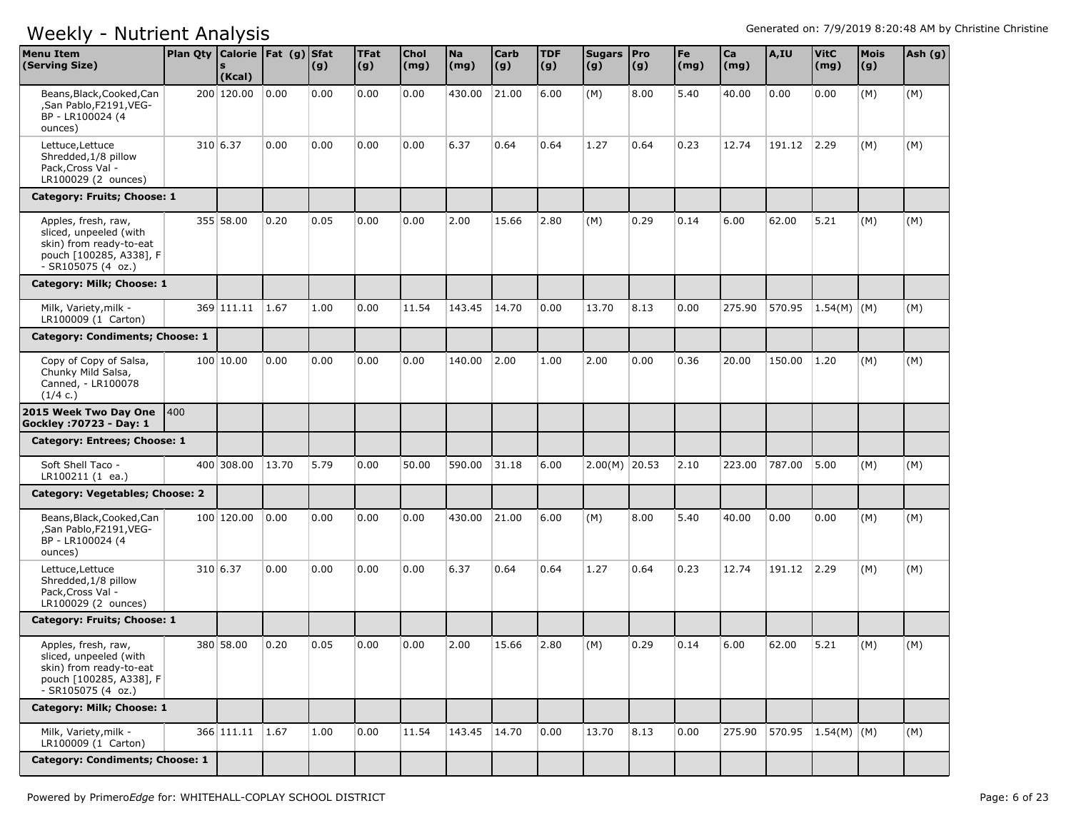| <b>Menu Item</b><br>(Serving Size)                                                                                        | Plan Qty   Calorie   Fat (g)   Sfat | (Kcal)          |       | (g)  | <b>TFat</b><br>(g) | <b>Chol</b><br>(mg) | <b>Na</b><br>(mg) | <b>Carb</b><br>(g) | <b>TDF</b><br>(g) | Sugars   Pro<br>(g) | (g)  | Fe<br>(mg) | Ca<br>(mg) | A,IU   | <b>VitC</b><br>(mg) | <b>Mois</b><br>(g) | Ash (g) |
|---------------------------------------------------------------------------------------------------------------------------|-------------------------------------|-----------------|-------|------|--------------------|---------------------|-------------------|--------------------|-------------------|---------------------|------|------------|------------|--------|---------------------|--------------------|---------|
| Beans, Black, Cooked, Can<br>,San Pablo,F2191,VEG-<br>BP - LR100024 (4<br>ounces)                                         |                                     | 200 120.00      | 0.00  | 0.00 | 0.00               | 0.00                | 430.00            | 21.00              | 6.00              | (M)                 | 8.00 | 5.40       | 40.00      | 0.00   | 0.00                | (M)                | (M)     |
| Lettuce, Lettuce<br>Shredded, 1/8 pillow<br>Pack, Cross Val -<br>LR100029 (2 ounces)                                      |                                     | 310 6.37        | 0.00  | 0.00 | 0.00               | 0.00                | 6.37              | 0.64               | 0.64              | 1.27                | 0.64 | 0.23       | 12.74      | 191.12 | 2.29                | (M)                | (M)     |
| Category: Fruits; Choose: 1                                                                                               |                                     |                 |       |      |                    |                     |                   |                    |                   |                     |      |            |            |        |                     |                    |         |
| Apples, fresh, raw,<br>sliced, unpeeled (with<br>skin) from ready-to-eat<br>pouch [100285, A338], F<br>- SR105075 (4 oz.) |                                     | 355 58.00       | 0.20  | 0.05 | 0.00               | 0.00                | 2.00              | 15.66              | 2.80              | (M)                 | 0.29 | 0.14       | 6.00       | 62.00  | 5.21                | (M)                | (M)     |
| Category: Milk; Choose: 1                                                                                                 |                                     |                 |       |      |                    |                     |                   |                    |                   |                     |      |            |            |        |                     |                    |         |
| Milk, Variety, milk -<br>LR100009 (1 Carton)                                                                              |                                     | 369 111.11      | 1.67  | 1.00 | 0.00               | 11.54               | 143.45            | 14.70              | 0.00              | 13.70               | 8.13 | 0.00       | 275.90     | 570.95 | 1.54(M)   (M)       |                    | (M)     |
| Category: Condiments; Choose: 1                                                                                           |                                     |                 |       |      |                    |                     |                   |                    |                   |                     |      |            |            |        |                     |                    |         |
| Copy of Copy of Salsa,<br>Chunky Mild Salsa,<br>Canned, - LR100078<br>(1/4 c.)                                            |                                     | 100 10.00       | 0.00  | 0.00 | 0.00               | 0.00                | 140.00            | 2.00               | 1.00              | 2.00                | 0.00 | 0.36       | 20.00      | 150.00 | 1.20                | (M)                | (M)     |
| 2015 Week Two Day One<br>Gockley : 70723 - Day: 1                                                                         | 400                                 |                 |       |      |                    |                     |                   |                    |                   |                     |      |            |            |        |                     |                    |         |
| Category: Entrees; Choose: 1                                                                                              |                                     |                 |       |      |                    |                     |                   |                    |                   |                     |      |            |            |        |                     |                    |         |
| Soft Shell Taco -<br>LR100211 (1 ea.)                                                                                     |                                     | 400 308.00      | 13.70 | 5.79 | 0.00               | 50.00               | 590.00            | 31.18              | 6.00              | $2.00(M)$ 20.53     |      | 2.10       | 223.00     | 787.00 | 5.00                | (M)                | (M)     |
| Category: Vegetables; Choose: 2                                                                                           |                                     |                 |       |      |                    |                     |                   |                    |                   |                     |      |            |            |        |                     |                    |         |
| Beans, Black, Cooked, Can<br>,San Pablo,F2191,VEG-<br>BP - LR100024 (4<br>ounces)                                         |                                     | 100 120.00      | 0.00  | 0.00 | 0.00               | 0.00                | 430.00            | 21.00              | 6.00              | (M)                 | 8.00 | 5.40       | 40.00      | 0.00   | 0.00                | (M)                | (M)     |
| Lettuce, Lettuce<br>Shredded, 1/8 pillow<br>Pack, Cross Val -<br>LR100029 (2 ounces)                                      |                                     | 310 6.37        | 0.00  | 0.00 | 0.00               | 0.00                | 6.37              | 0.64               | 0.64              | 1.27                | 0.64 | 0.23       | 12.74      | 191.12 | 2.29                | (M)                | (M)     |
| Category: Fruits; Choose: 1                                                                                               |                                     |                 |       |      |                    |                     |                   |                    |                   |                     |      |            |            |        |                     |                    |         |
| Apples, fresh, raw,<br>sliced, unpeeled (with<br>skin) from ready-to-eat<br>pouch [100285, A338], F<br>- SR105075 (4 oz.) |                                     | 380 58.00       | 0.20  | 0.05 | 0.00               | 0.00                | 2.00              | 15.66              | 2.80              | (M)                 | 0.29 | 0.14       | 6.00       | 62.00  | 5.21                | (M)                | (M)     |
| Category: Milk; Choose: 1                                                                                                 |                                     |                 |       |      |                    |                     |                   |                    |                   |                     |      |            |            |        |                     |                    |         |
| Milk, Variety, milk -<br>LR100009 (1 Carton)                                                                              |                                     | 366 111.11 1.67 |       | 1.00 | 0.00               | 11.54               | 143.45            | 14.70              | 0.00              | 13.70               | 8.13 | 0.00       | 275.90     |        | 570.95 1.54(M) (M)  |                    | (M)     |
| Category: Condiments; Choose: 1                                                                                           |                                     |                 |       |      |                    |                     |                   |                    |                   |                     |      |            |            |        |                     |                    |         |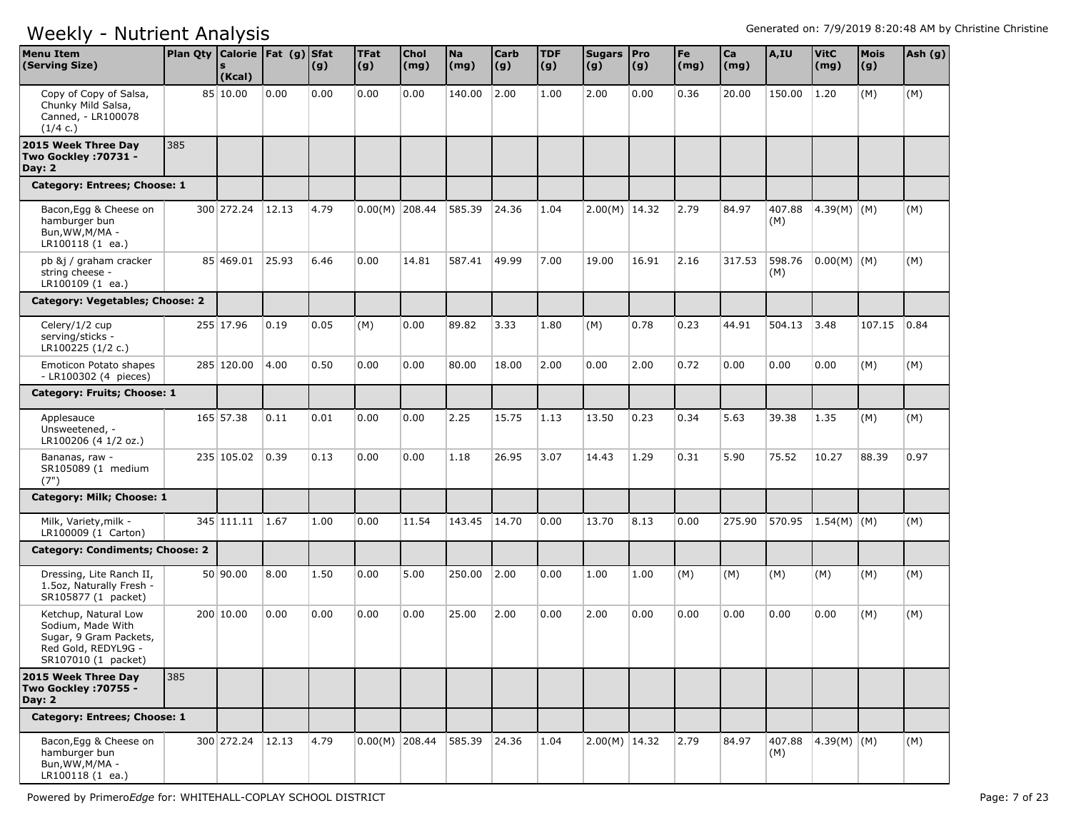| <b>Menu Item</b><br>(Serving Size)                                                                                | Plan Qty Calorie   Fat (g) Sfat | (Kcal)           |       | (g)  | <b>TFat</b><br> (g) | <b>Chol</b><br>(mg) | <b>Na</b><br>(mg) | <b>Carb</b><br>(g) | <b>TDF</b><br>(g) | Sugars   Pro<br>(g) | (g)   | Fe<br>(mg) | Ca<br>(mg) | A,IU          | <b>VitC</b><br>(mg) | <b>Mois</b><br>(g) | Ash (g) |
|-------------------------------------------------------------------------------------------------------------------|---------------------------------|------------------|-------|------|---------------------|---------------------|-------------------|--------------------|-------------------|---------------------|-------|------------|------------|---------------|---------------------|--------------------|---------|
| Copy of Copy of Salsa,<br>Chunky Mild Salsa,<br>Canned, - LR100078<br>(1/4 c.)                                    |                                 | 85 10.00         | 0.00  | 0.00 | 0.00                | 0.00                | 140.00            | 2.00               | 1.00              | 2.00                | 0.00  | 0.36       | 20.00      | 150.00        | 1.20                | (M)                | (M)     |
| 2015 Week Three Day<br><b>Two Gockley : 70731 -</b><br>Day: $2$                                                   | 385                             |                  |       |      |                     |                     |                   |                    |                   |                     |       |            |            |               |                     |                    |         |
| Category: Entrees; Choose: 1                                                                                      |                                 |                  |       |      |                     |                     |                   |                    |                   |                     |       |            |            |               |                     |                    |         |
| Bacon, Egg & Cheese on<br>hamburger bun<br>Bun, WW, M/MA -<br>LR100118 (1 ea.)                                    |                                 | 300 272.24       | 12.13 | 4.79 | $0.00(M)$ 208.44    |                     | 585.39            | 24.36              | 1.04              | $2.00(M)$ 14.32     |       | 2.79       | 84.97      | 407.88<br>(M) | 4.39(M) (M)         |                    | (M)     |
| pb &j / graham cracker<br>string cheese -<br>LR100109 (1 ea.)                                                     |                                 | 85 469.01        | 25.93 | 6.46 | 0.00                | 14.81               | 587.41            | 49.99              | 7.00              | 19.00               | 16.91 | 2.16       | 317.53     | 598.76<br>(M) | $ 0.00(M) $ (M)     |                    | (M)     |
| Category: Vegetables; Choose: 2                                                                                   |                                 |                  |       |      |                     |                     |                   |                    |                   |                     |       |            |            |               |                     |                    |         |
| Celery/1/2 cup<br>serving/sticks -<br>LR100225 (1/2 c.)                                                           |                                 | 255 17.96        | 0.19  | 0.05 | (M)                 | 0.00                | 89.82             | 3.33               | 1.80              | (M)                 | 0.78  | 0.23       | 44.91      | 504.13        | 3.48                | 107.15             | 0.84    |
| Emoticon Potato shapes<br>- LR100302 (4 pieces)                                                                   |                                 | 285 120.00       | 4.00  | 0.50 | 0.00                | 0.00                | 80.00             | 18.00              | 2.00              | 0.00                | 2.00  | 0.72       | 0.00       | 0.00          | 0.00                | (M)                | (M)     |
| Category: Fruits; Choose: 1                                                                                       |                                 |                  |       |      |                     |                     |                   |                    |                   |                     |       |            |            |               |                     |                    |         |
| Applesauce<br>Unsweetened, -<br>LR100206 (4 1/2 oz.)                                                              |                                 | 165 57.38        | 0.11  | 0.01 | 0.00                | 0.00                | 2.25              | 15.75              | 1.13              | 13.50               | 0.23  | 0.34       | 5.63       | 39.38         | 1.35                | (M)                | (M)     |
| Bananas, raw -<br>SR105089 (1 medium<br>(7")                                                                      |                                 | 235 105.02       | 0.39  | 0.13 | 0.00                | 0.00                | 1.18              | 26.95              | 3.07              | 14.43               | 1.29  | 0.31       | 5.90       | 75.52         | 10.27               | 88.39              | 0.97    |
| Category: Milk; Choose: 1                                                                                         |                                 |                  |       |      |                     |                     |                   |                    |                   |                     |       |            |            |               |                     |                    |         |
| Milk, Variety, milk -<br>LR100009 (1 Carton)                                                                      |                                 | 345 111.11       | 1.67  | 1.00 | 0.00                | 11.54               | 143.45            | 14.70              | 0.00              | 13.70               | 8.13  | 0.00       | 275.90     | 570.95        | $1.54(M)$ (M)       |                    | (M)     |
| <b>Category: Condiments; Choose: 2</b>                                                                            |                                 |                  |       |      |                     |                     |                   |                    |                   |                     |       |            |            |               |                     |                    |         |
| Dressing, Lite Ranch II,<br>1.5oz, Naturally Fresh -<br>SR105877 (1 packet)                                       |                                 | 50 90.00         | 8.00  | 1.50 | 0.00                | 5.00                | 250.00            | 2.00               | 0.00              | 1.00                | 1.00  | (M)        | (M)        | (M)           | (M)                 | (M)                | (M)     |
| Ketchup, Natural Low<br>Sodium, Made With<br>Sugar, 9 Gram Packets,<br>Red Gold, REDYL9G -<br>SR107010 (1 packet) |                                 | 200 10.00        | 0.00  | 0.00 | 0.00                | 0.00                | 25.00             | 2.00               | 0.00              | 2.00                | 0.00  | 0.00       | 0.00       | 0.00          | 0.00                | (M)                | (M)     |
| 2015 Week Three Day<br>Two Gockley : 70755 -<br>Day: $2$                                                          | 385                             |                  |       |      |                     |                     |                   |                    |                   |                     |       |            |            |               |                     |                    |         |
| Category: Entrees; Choose: 1                                                                                      |                                 |                  |       |      |                     |                     |                   |                    |                   |                     |       |            |            |               |                     |                    |         |
| Bacon, Egg & Cheese on<br>hamburger bun<br>Bun, WW, M/MA -<br>LR100118 (1 ea.)                                    |                                 | 300 272.24 12.13 |       | 4.79 |                     | $0.00(M)$ 208.44    | 585.39 24.36      |                    | 1.04              | $2.00(M)$ 14.32     |       | 2.79       | 84.97      | (M)           | 407.88 4.39(M) (M)  |                    | (M)     |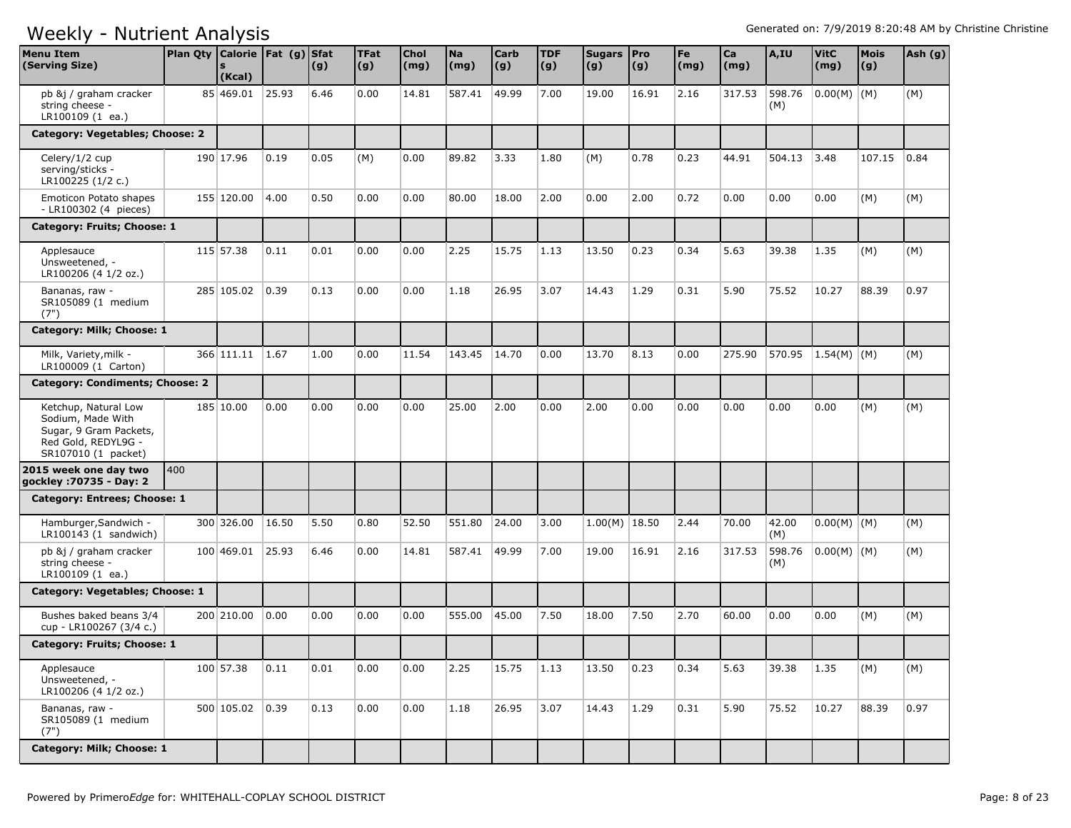| <b>Menu Item</b><br>(Serving Size)                                                                                | Plan Qty   Calorie   Fat (g)   Sfat | (Kcal)          |       | (g)  | <b>TFat</b><br>(g) | Chol<br>(mg) | <b>Na</b><br>(mg) | <b>Carb</b><br> (g) | <b>TDF</b><br>$\vert (g) \vert$ | Sugars   Pro<br>(g) | (g)   | Fe<br>$\mathsf{(mg)}$ | Ca<br>(mg) | A,IU          | <b>VitC</b><br>(mg) | <b>Mois</b><br>(g) | Ash (g) |
|-------------------------------------------------------------------------------------------------------------------|-------------------------------------|-----------------|-------|------|--------------------|--------------|-------------------|---------------------|---------------------------------|---------------------|-------|-----------------------|------------|---------------|---------------------|--------------------|---------|
| pb &j / graham cracker<br>string cheese -<br>LR100109 (1 ea.)                                                     |                                     | 85 469.01       | 25.93 | 6.46 | 0.00               | 14.81        | 587.41            | 49.99               | 7.00                            | 19.00               | 16.91 | 2.16                  | 317.53     | 598.76<br>(M) | $ 0.00(M) $ (M)     |                    | (M)     |
| Category: Vegetables; Choose: 2                                                                                   |                                     |                 |       |      |                    |              |                   |                     |                                 |                     |       |                       |            |               |                     |                    |         |
| Celery/1/2 cup<br>serving/sticks -<br>LR100225 (1/2 c.)                                                           |                                     | 190 17.96       | 0.19  | 0.05 | (M)                | 0.00         | 89.82             | 3.33                | 1.80                            | (M)                 | 0.78  | 0.23                  | 44.91      | 504.13 3.48   |                     | 107.15             | 0.84    |
| Emoticon Potato shapes<br>- LR100302 (4 pieces)                                                                   |                                     | 155 120.00      | 4.00  | 0.50 | 0.00               | 0.00         | 80.00             | 18.00               | 2.00                            | 0.00                | 2.00  | 0.72                  | 0.00       | 0.00          | 0.00                | (M)                | (M)     |
| Category: Fruits; Choose: 1                                                                                       |                                     |                 |       |      |                    |              |                   |                     |                                 |                     |       |                       |            |               |                     |                    |         |
| Applesauce<br>Unsweetened, -<br>LR100206 (4 1/2 oz.)                                                              |                                     | 115 57.38       | 0.11  | 0.01 | 0.00               | 0.00         | 2.25              | 15.75               | 1.13                            | 13.50               | 0.23  | 0.34                  | 5.63       | 39.38         | 1.35                | (M)                | (M)     |
| Bananas, raw -<br>SR105089 (1 medium<br>(7")                                                                      |                                     | 285 105.02      | 0.39  | 0.13 | 0.00               | 0.00         | 1.18              | 26.95               | 3.07                            | 14.43               | 1.29  | 0.31                  | 5.90       | 75.52         | 10.27               | 88.39              | 0.97    |
| Category: Milk; Choose: 1                                                                                         |                                     |                 |       |      |                    |              |                   |                     |                                 |                     |       |                       |            |               |                     |                    |         |
| Milk, Variety, milk -<br>LR100009 (1 Carton)                                                                      |                                     | 366 111.11      | 1.67  | 1.00 | 0.00               | 11.54        | 143.45            | 14.70               | 0.00                            | 13.70               | 8.13  | 0.00                  | 275.90     | 570.95        | 1.54(M)   (M)       |                    | (M)     |
| <b>Category: Condiments; Choose: 2</b>                                                                            |                                     |                 |       |      |                    |              |                   |                     |                                 |                     |       |                       |            |               |                     |                    |         |
| Ketchup, Natural Low<br>Sodium, Made With<br>Sugar, 9 Gram Packets,<br>Red Gold, REDYL9G -<br>SR107010 (1 packet) |                                     | 185 10.00       | 0.00  | 0.00 | 0.00               | 0.00         | 25.00             | 2.00                | 0.00                            | 2.00                | 0.00  | 0.00                  | 0.00       | 0.00          | 0.00                | (M)                | (M)     |
| 2015 week one day two<br>gockley : 70735 - Day: 2                                                                 | 400                                 |                 |       |      |                    |              |                   |                     |                                 |                     |       |                       |            |               |                     |                    |         |
| Category: Entrees; Choose: 1                                                                                      |                                     |                 |       |      |                    |              |                   |                     |                                 |                     |       |                       |            |               |                     |                    |         |
| Hamburger, Sandwich -<br>$LR100143$ (1 sandwich)                                                                  |                                     | 300 326.00      | 16.50 | 5.50 | 0.80               | 52.50        | 551.80            | 24.00               | 3.00                            | $1.00(M)$ 18.50     |       | 2.44                  | 70.00      | 42.00<br>(M)  | $0.00(M)$ (M)       |                    | (M)     |
| pb &j / graham cracker<br>string cheese -<br>LR100109 (1 ea.)                                                     |                                     | 100 469.01      | 25.93 | 6.46 | 0.00               | 14.81        | 587.41            | 49.99               | 7.00                            | 19.00               | 16.91 | 2.16                  | 317.53     | 598.76<br>(M) | $0.00(M)$ (M)       |                    | (M)     |
| Category: Vegetables; Choose: 1                                                                                   |                                     |                 |       |      |                    |              |                   |                     |                                 |                     |       |                       |            |               |                     |                    |         |
| Bushes baked beans 3/4<br>cup - LR100267 (3/4 c.)                                                                 |                                     | 200 210.00      | 0.00  | 0.00 | 0.00               | 0.00         | 555.00            | 45.00               | 7.50                            | 18.00               | 7.50  | 2.70                  | 60.00      | 0.00          | 0.00                | (M)                | (M)     |
| Category: Fruits; Choose: 1                                                                                       |                                     |                 |       |      |                    |              |                   |                     |                                 |                     |       |                       |            |               |                     |                    |         |
| Applesauce<br>Unsweetened, -<br>LR100206 (4 1/2 oz.)                                                              |                                     | 100 57.38       | 0.11  | 0.01 | 0.00               | 0.00         | 2.25              | 15.75               | 1.13                            | 13.50               | 0.23  | 0.34                  | 5.63       | 39.38         | 1.35                | (M)                | (M)     |
| Bananas, raw -<br>SR105089 (1 medium<br>(7")                                                                      |                                     | 500 105.02 0.39 |       | 0.13 | 0.00               | 0.00         | 1.18              | 26.95               | 3.07                            | 14.43               | 1.29  | 0.31                  | 5.90       | 75.52         | 10.27               | 88.39              | 0.97    |
| Category: Milk; Choose: 1                                                                                         |                                     |                 |       |      |                    |              |                   |                     |                                 |                     |       |                       |            |               |                     |                    |         |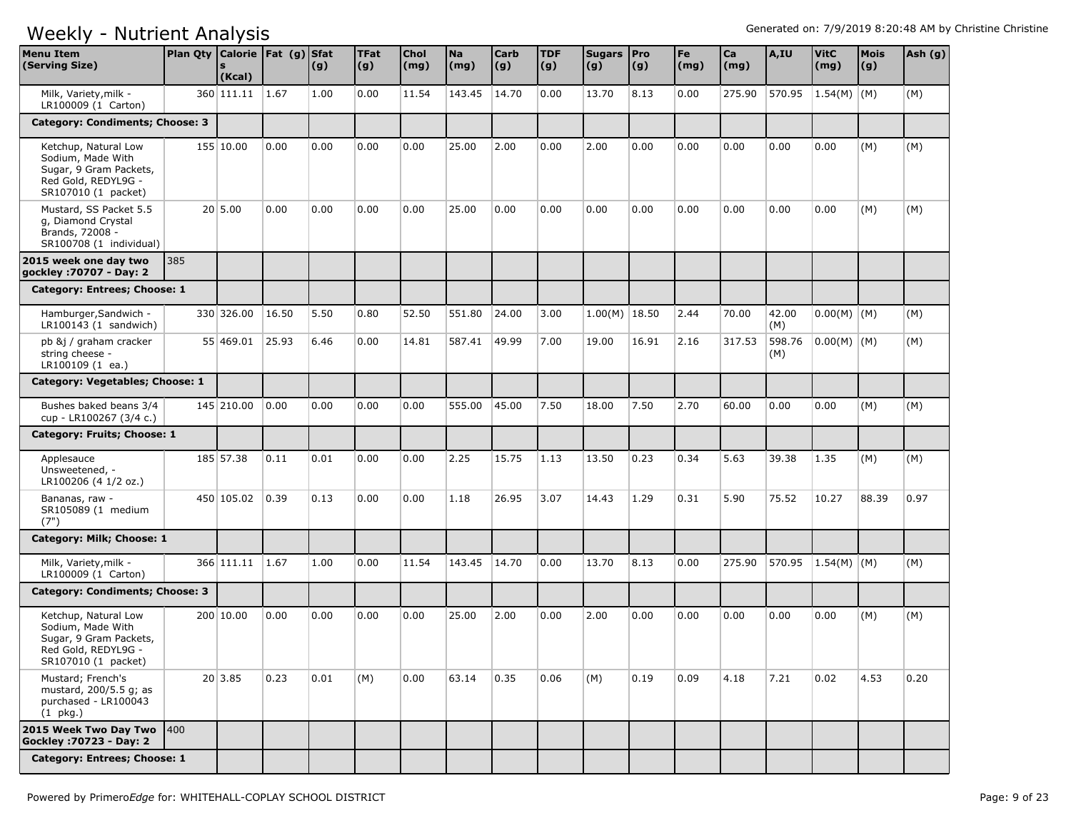| <b>Menu Item</b><br>(Serving Size)                                                                                | Plan Qty $\vert$ Calorie $\vert$ Fat (g) | (Kcal)     |       | <b>Sfat</b><br>(g) | <b>TFat</b><br> (g) | Chol<br>(mg) | <b>Na</b><br>(mg) | Carb<br>(g) | <b>TDF</b><br>(g) | Sugars   Pro<br>(g) | $\vert (g) \vert$ | Fe<br>$\mathsf{(mg)}$ | Ca<br>(mg) | A,IU          | <b>VitC</b><br>(mg) | <b>Mois</b><br>(g) | Ash (g) |
|-------------------------------------------------------------------------------------------------------------------|------------------------------------------|------------|-------|--------------------|---------------------|--------------|-------------------|-------------|-------------------|---------------------|-------------------|-----------------------|------------|---------------|---------------------|--------------------|---------|
| Milk, Variety, milk -<br>LR100009 (1 Carton)                                                                      |                                          | 360 111.11 | 1.67  | 1.00               | 0.00                | 11.54        | 143.45            | 14.70       | 0.00              | 13.70               | 8.13              | 0.00                  | 275.90     | 570.95        | $1.54(M)$ (M)       |                    | (M)     |
| Category: Condiments; Choose: 3                                                                                   |                                          |            |       |                    |                     |              |                   |             |                   |                     |                   |                       |            |               |                     |                    |         |
| Ketchup, Natural Low<br>Sodium, Made With<br>Sugar, 9 Gram Packets,<br>Red Gold, REDYL9G -<br>SR107010 (1 packet) |                                          | 155 10.00  | 0.00  | 0.00               | 0.00                | 0.00         | 25.00             | 2.00        | 0.00              | 2.00                | 0.00              | 0.00                  | 0.00       | 0.00          | 0.00                | (M)                | (M)     |
| Mustard, SS Packet 5.5<br>q, Diamond Crystal<br>Brands, 72008 -<br>SR100708 (1 individual)                        |                                          | 20 5.00    | 0.00  | 0.00               | 0.00                | 0.00         | 25.00             | 0.00        | 0.00              | 0.00                | 0.00              | 0.00                  | 0.00       | 0.00          | 0.00                | (M)                | (M)     |
| 2015 week one day two<br>gockley : 70707 - Day: 2                                                                 | 385                                      |            |       |                    |                     |              |                   |             |                   |                     |                   |                       |            |               |                     |                    |         |
| Category: Entrees; Choose: 1                                                                                      |                                          |            |       |                    |                     |              |                   |             |                   |                     |                   |                       |            |               |                     |                    |         |
| Hamburger, Sandwich -<br>$LR100143$ (1 sandwich)                                                                  |                                          | 330 326.00 | 16.50 | 5.50               | 0.80                | 52.50        | 551.80            | 24.00       | 3.00              | $1.00(M)$ 18.50     |                   | 2.44                  | 70.00      | 42.00<br>(M)  | $0.00(M)$ $(M)$     |                    | (M)     |
| pb &j / graham cracker<br>string cheese -<br>LR100109 (1 ea.)                                                     |                                          | 55 469.01  | 25.93 | 6.46               | 0.00                | 14.81        | 587.41            | 49.99       | 7.00              | 19.00               | 16.91             | 2.16                  | 317.53     | 598.76<br>(M) | $0.00(M)$ $(M)$     |                    | (M)     |
| Category: Vegetables; Choose: 1                                                                                   |                                          |            |       |                    |                     |              |                   |             |                   |                     |                   |                       |            |               |                     |                    |         |
| Bushes baked beans 3/4<br>cup - LR100267 (3/4 c.)                                                                 |                                          | 145 210.00 | 0.00  | 0.00               | 0.00                | 0.00         | 555.00            | 45.00       | 7.50              | 18.00               | 7.50              | 2.70                  | 60.00      | 0.00          | 0.00                | (M)                | (M)     |
| Category: Fruits; Choose: 1                                                                                       |                                          |            |       |                    |                     |              |                   |             |                   |                     |                   |                       |            |               |                     |                    |         |
| Applesauce<br>Unsweetened, -<br>LR100206 (4 1/2 oz.)                                                              |                                          | 185 57.38  | 0.11  | 0.01               | 0.00                | 0.00         | 2.25              | 15.75       | 1.13              | 13.50               | 0.23              | 0.34                  | 5.63       | 39.38         | 1.35                | (M)                | (M)     |
| Bananas, raw -<br>SR105089 (1 medium<br>(7")                                                                      |                                          | 450 105.02 | 0.39  | 0.13               | 0.00                | 0.00         | 1.18              | 26.95       | 3.07              | 14.43               | 1.29              | 0.31                  | 5.90       | 75.52         | 10.27               | 88.39              | 0.97    |
| Category: Milk; Choose: 1                                                                                         |                                          |            |       |                    |                     |              |                   |             |                   |                     |                   |                       |            |               |                     |                    |         |
| Milk, Variety, milk -<br>LR100009 (1 Carton)                                                                      |                                          | 366 111.11 | 1.67  | 1.00               | 0.00                | 11.54        | 143.45            | 14.70       | 0.00              | 13.70               | 8.13              | 0.00                  | 275.90     | 570.95        | $1.54(M)$ (M)       |                    | (M)     |
| Category: Condiments; Choose: 3                                                                                   |                                          |            |       |                    |                     |              |                   |             |                   |                     |                   |                       |            |               |                     |                    |         |
| Ketchup, Natural Low<br>Sodium, Made With<br>Sugar, 9 Gram Packets,<br>Red Gold, REDYL9G -<br>SR107010 (1 packet) |                                          | 200 10.00  | 0.00  | 0.00               | 0.00                | 0.00         | 25.00             | 2.00        | 0.00              | 2.00                | 0.00              | 0.00                  | 0.00       | 0.00          | 0.00                | (M)                | (M)     |
| Mustard; French's<br>mustard, 200/5.5 q; as<br>purchased - LR100043<br>$(1$ pkg.)                                 |                                          | 20 3.85    | 0.23  | 0.01               | (M)                 | 0.00         | 63.14             | 0.35        | 0.06              | (M)                 | 0.19              | 0.09                  | 4.18       | 7.21          | 0.02                | 4.53               | 0.20    |
| 2015 Week Two Day Two<br><b>Gockley : 70723 - Day: 2</b>                                                          | <b>400</b>                               |            |       |                    |                     |              |                   |             |                   |                     |                   |                       |            |               |                     |                    |         |
| Category: Entrees; Choose: 1                                                                                      |                                          |            |       |                    |                     |              |                   |             |                   |                     |                   |                       |            |               |                     |                    |         |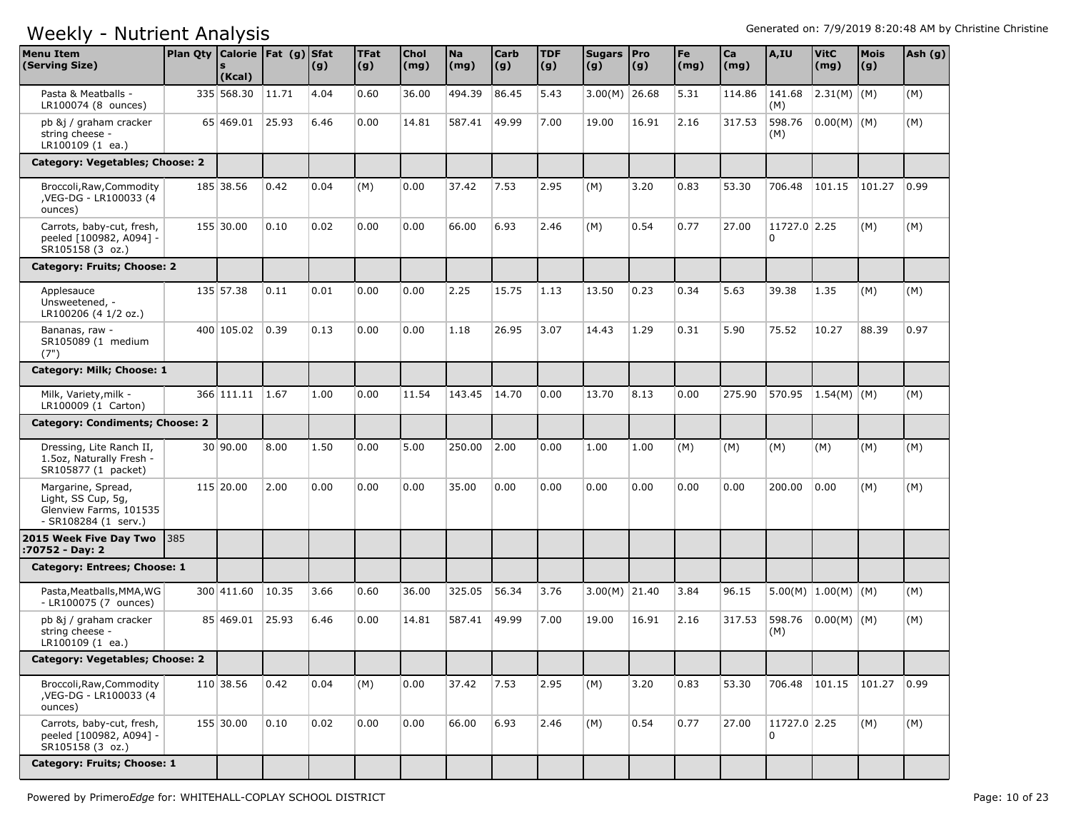| <b>Menu Item</b><br>(Serving Size)                                                         | Plan Qty Calorie Fat (g) Sfat | (Kcal)          |                | (g)  | <b>TFat</b><br>(g) | <b>Chol</b><br>(mg) | <b>Na</b><br>(mg) | <b>Carb</b><br>(g) | <b>TDF</b><br>(g) | Sugars   Pro<br>(g) | (g)   | Fe<br>$\mathsf{(mg)}$ | Ca<br>(mg) | A,IU              | <b>VitC</b><br>(mg)   | <b>Mois</b><br>(g) | Ash (g) |
|--------------------------------------------------------------------------------------------|-------------------------------|-----------------|----------------|------|--------------------|---------------------|-------------------|--------------------|-------------------|---------------------|-------|-----------------------|------------|-------------------|-----------------------|--------------------|---------|
| Pasta & Meatballs -<br>LR100074 (8 ounces)                                                 |                               | 335 568.30      | 11.71          | 4.04 | 0.60               | 36.00               | 494.39            | 86.45              | 5.43              | $3.00(M)$ 26.68     |       | 5.31                  | 114.86     | 141.68<br>(M)     | 2.31(M) (M)           |                    | (M)     |
| pb &j / graham cracker<br>string cheese -<br>LR100109 (1 ea.)                              |                               | 65 469.01       | 25.93          | 6.46 | 0.00               | 14.81               | 587.41            | 49.99              | 7.00              | 19.00               | 16.91 | 2.16                  | 317.53     | 598.76<br>(M)     | $0.00(M)$ (M)         |                    | (M)     |
| Category: Vegetables; Choose: 2                                                            |                               |                 |                |      |                    |                     |                   |                    |                   |                     |       |                       |            |                   |                       |                    |         |
| Broccoli, Raw, Commodity<br>,VEG-DG - LR100033 (4<br>ounces)                               |                               | 185 38.56       | 0.42           | 0.04 | (M)                | 0.00                | 37.42             | 7.53               | 2.95              | (M)                 | 3.20  | 0.83                  | 53.30      | 706.48            | 101.15                | 101.27             | 0.99    |
| Carrots, baby-cut, fresh,<br>peeled [100982, A094] -<br>SR105158 (3 oz.)                   |                               | 155 30.00       | 0.10           | 0.02 | 0.00               | 0.00                | 66.00             | 6.93               | 2.46              | (M)                 | 0.54  | 0.77                  | 27.00      | 11727.0 2.25<br>0 |                       | (M)                | (M)     |
| Category: Fruits; Choose: 2                                                                |                               |                 |                |      |                    |                     |                   |                    |                   |                     |       |                       |            |                   |                       |                    |         |
| Applesauce<br>Unsweetened, -<br>LR100206 (4 1/2 oz.)                                       |                               | 135 57.38       | 0.11           | 0.01 | 0.00               | 0.00                | 2.25              | 15.75              | 1.13              | 13.50               | 0.23  | 0.34                  | 5.63       | 39.38             | 1.35                  | (M)                | (M)     |
| Bananas, raw -<br>SR105089 (1 medium<br>(7")                                               |                               | 400 105.02      | $ 0.39\rangle$ | 0.13 | 0.00               | 0.00                | 1.18              | 26.95              | 3.07              | 14.43               | 1.29  | 0.31                  | 5.90       | 75.52             | 10.27                 | 88.39              | 0.97    |
| Category: Milk; Choose: 1                                                                  |                               |                 |                |      |                    |                     |                   |                    |                   |                     |       |                       |            |                   |                       |                    |         |
| Milk, Variety, milk -<br>LR100009 (1 Carton)                                               |                               | 366 111.11 1.67 |                | 1.00 | 0.00               | 11.54               | 143.45            | 14.70              | 0.00              | 13.70               | 8.13  | 0.00                  | 275.90     | 570.95            | $1.54(M)$ (M)         |                    | (M)     |
| Category: Condiments; Choose: 2                                                            |                               |                 |                |      |                    |                     |                   |                    |                   |                     |       |                       |            |                   |                       |                    |         |
| Dressing, Lite Ranch II,<br>1.5oz, Naturally Fresh -<br>SR105877 (1 packet)                |                               | 30 90.00        | 8.00           | 1.50 | 0.00               | 5.00                | 250.00            | 2.00               | 0.00              | 1.00                | 1.00  | (M)                   | (M)        | (M)               | (M)                   | (M)                | (M)     |
| Margarine, Spread,<br>Light, SS Cup, 5g,<br>Glenview Farms, 101535<br>- SR108284 (1 serv.) |                               | 115 20.00       | 2.00           | 0.00 | 0.00               | 0.00                | 35.00             | 0.00               | 0.00              | 0.00                | 0.00  | 0.00                  | 0.00       | 200.00            | 0.00                  | (M)                | (M)     |
| 2015 Week Five Day Two<br>:70752 - Day: 2                                                  | <b>385</b>                    |                 |                |      |                    |                     |                   |                    |                   |                     |       |                       |            |                   |                       |                    |         |
| Category: Entrees; Choose: 1                                                               |                               |                 |                |      |                    |                     |                   |                    |                   |                     |       |                       |            |                   |                       |                    |         |
| Pasta, Meatballs, MMA, WG<br>- LR100075 (7 ounces)                                         |                               | 300 411.60      | 10.35          | 3.66 | 0.60               | 36.00               | 325.05            | 56.34              | 3.76              | $3.00(M)$ 21.40     |       | 3.84                  | 96.15      |                   | $5.00(M)$ 1.00(M) (M) |                    | (M)     |
| pb &j / graham cracker<br>string cheese -<br>LR100109 (1 ea.)                              |                               | 85 469.01       | 25.93          | 6.46 | 0.00               | 14.81               | 587.41            | 49.99              | 7.00              | 19.00               | 16.91 | 2.16                  | 317.53     | 598.76<br>(M)     | $ 0.00(M) $ (M)       |                    | (M)     |
| Category: Vegetables; Choose: 2                                                            |                               |                 |                |      |                    |                     |                   |                    |                   |                     |       |                       |            |                   |                       |                    |         |
| Broccoli, Raw, Commodity<br>, VEG-DG - LR100033 (4<br>ounces)                              |                               | 110 38.56       | 0.42           | 0.04 | (M)                | 0.00                | 37.42             | 7.53               | 2.95              | (M)                 | 3.20  | 0.83                  | 53.30      | 706.48            | 101.15                | 101.27             | 0.99    |
| Carrots, baby-cut, fresh,<br>peeled [100982, A094] -<br>SR105158 (3 oz.)                   |                               | 155 30.00       | 0.10           | 0.02 | 0.00               | 0.00                | 66.00             | 6.93               | 2.46              | (M)                 | 0.54  | 0.77                  | 27.00      | 11727.0 2.25<br>0 |                       | (M)                | (M)     |
| Category: Fruits; Choose: 1                                                                |                               |                 |                |      |                    |                     |                   |                    |                   |                     |       |                       |            |                   |                       |                    |         |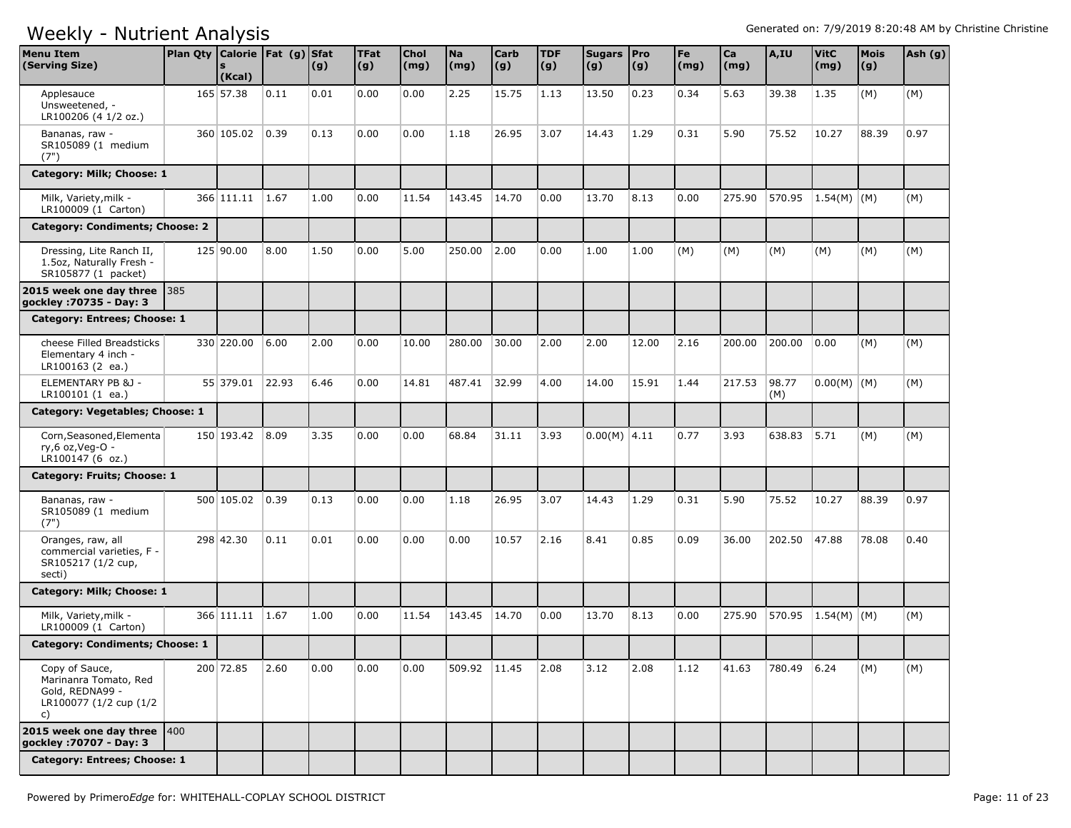| <b>Menu Item</b><br>(Serving Size)                                                         | Plan Qty   Calorie   Fat (g)   Sfat | (Kcal)          |       | (g)  | <b>TFat</b><br> (g) | <b>Chol</b><br>(mg) | <b>Na</b><br>(mg) | <b>Carb</b><br> (g) | <b>TDF</b><br>(g) | Sugars Pro<br>(g) | (g)   | Fe<br>(mg) | Ca<br>(mg) | A,IU         | <b>VitC</b><br>(mg) | <b>Mois</b><br>(g) | Ash (g) |
|--------------------------------------------------------------------------------------------|-------------------------------------|-----------------|-------|------|---------------------|---------------------|-------------------|---------------------|-------------------|-------------------|-------|------------|------------|--------------|---------------------|--------------------|---------|
| Applesauce<br>Unsweetened, -<br>LR100206 (4 1/2 oz.)                                       |                                     | 165 57.38       | 0.11  | 0.01 | 0.00                | 0.00                | 2.25              | 15.75               | 1.13              | 13.50             | 0.23  | 0.34       | 5.63       | 39.38        | 1.35                | (M)                | (M)     |
| Bananas, raw -<br>SR105089 (1 medium<br>(7")                                               |                                     | 360 105.02      | 0.39  | 0.13 | 0.00                | 0.00                | 1.18              | 26.95               | 3.07              | 14.43             | 1.29  | 0.31       | 5.90       | 75.52        | 10.27               | 88.39              | 0.97    |
| Category: Milk; Choose: 1                                                                  |                                     |                 |       |      |                     |                     |                   |                     |                   |                   |       |            |            |              |                     |                    |         |
| Milk, Variety, milk -<br>LR100009 (1 Carton)                                               |                                     | 366 111.11      | 1.67  | 1.00 | 0.00                | 11.54               | 143.45            | 14.70               | 0.00              | 13.70             | 8.13  | 0.00       | 275.90     | 570.95       | $ 1.54(M)$ (M)      |                    | (M)     |
| Category: Condiments; Choose: 2                                                            |                                     |                 |       |      |                     |                     |                   |                     |                   |                   |       |            |            |              |                     |                    |         |
| Dressing, Lite Ranch II,<br>1.5oz, Naturally Fresh -<br>SR105877 (1 packet)                |                                     | 125 90.00       | 8.00  | 1.50 | 0.00                | 5.00                | 250.00            | 2.00                | 0.00              | 1.00              | 1.00  | (M)        | (M)        | (M)          | (M)                 | (M)                | (M)     |
| 2015 week one day three $ 385 $<br>gockley: 70735 - Day: 3                                 |                                     |                 |       |      |                     |                     |                   |                     |                   |                   |       |            |            |              |                     |                    |         |
| Category: Entrees; Choose: 1                                                               |                                     |                 |       |      |                     |                     |                   |                     |                   |                   |       |            |            |              |                     |                    |         |
| cheese Filled Breadsticks<br>Elementary 4 inch -<br>LR100163 (2 ea.)                       |                                     | 330 220.00      | 6.00  | 2.00 | 0.00                | 10.00               | 280.00            | 30.00               | 2.00              | 2.00              | 12.00 | 2.16       | 200.00     | 200.00       | 0.00                | (M)                | (M)     |
| ELEMENTARY PB & 1 -<br>LR100101 (1 ea.)                                                    |                                     | 55 379.01       | 22.93 | 6.46 | 0.00                | 14.81               | 487.41            | 32.99               | 4.00              | 14.00             | 15.91 | 1.44       | 217.53     | 98.77<br>(M) | $0.00(M)$ (M)       |                    | (M)     |
| Category: Vegetables; Choose: 1                                                            |                                     |                 |       |      |                     |                     |                   |                     |                   |                   |       |            |            |              |                     |                    |         |
| Corn, Seasoned, Elementa<br>ry,6 oz, Veg-O -<br>LR100147 (6 oz.)                           |                                     | 150 193.42 8.09 |       | 3.35 | 0.00                | 0.00                | 68.84             | 31.11               | 3.93              | $0.00(M)$ 4.11    |       | 0.77       | 3.93       | 638.83       | 5.71                | (M)                | (M)     |
| Category: Fruits; Choose: 1                                                                |                                     |                 |       |      |                     |                     |                   |                     |                   |                   |       |            |            |              |                     |                    |         |
| Bananas, raw -<br>SR105089 (1 medium<br>(7")                                               |                                     | 500 105.02      | 0.39  | 0.13 | 0.00                | 0.00                | 1.18              | 26.95               | 3.07              | 14.43             | 1.29  | 0.31       | 5.90       | 75.52        | 10.27               | 88.39              | 0.97    |
| Oranges, raw, all<br>commercial varieties, F -<br>SR105217 (1/2 cup,<br>secti)             |                                     | 298 42.30       | 0.11  | 0.01 | 0.00                | 0.00                | 0.00              | 10.57               | 2.16              | 8.41              | 0.85  | 0.09       | 36.00      | 202.50       | 47.88               | 78.08              | 0.40    |
| Category: Milk; Choose: 1                                                                  |                                     |                 |       |      |                     |                     |                   |                     |                   |                   |       |            |            |              |                     |                    |         |
| Milk, Variety, milk -<br>LR100009 (1 Carton)                                               |                                     | 366 111.11      | 1.67  | 1.00 | 0.00                | 11.54               | 143.45            | 14.70               | 0.00              | 13.70             | 8.13  | 0.00       | 275.90     | 570.95       | $1.54(M)$ (M)       |                    | (M)     |
| Category: Condiments; Choose: 1                                                            |                                     |                 |       |      |                     |                     |                   |                     |                   |                   |       |            |            |              |                     |                    |         |
| Copy of Sauce,<br>Marinanra Tomato, Red<br>Gold, REDNA99 -<br>LR100077 (1/2 cup (1/2<br>c) |                                     | 200 72.85       | 2.60  | 0.00 | 0.00                | 0.00                | 509.92 11.45      |                     | 2.08              | 3.12              | 2.08  | 1.12       | 41.63      | 780.49 6.24  |                     | (M)                | (M)     |
| 2015 week one day three $ 400 $<br>gockley : 70707 - Day: 3                                |                                     |                 |       |      |                     |                     |                   |                     |                   |                   |       |            |            |              |                     |                    |         |
| Category: Entrees; Choose: 1                                                               |                                     |                 |       |      |                     |                     |                   |                     |                   |                   |       |            |            |              |                     |                    |         |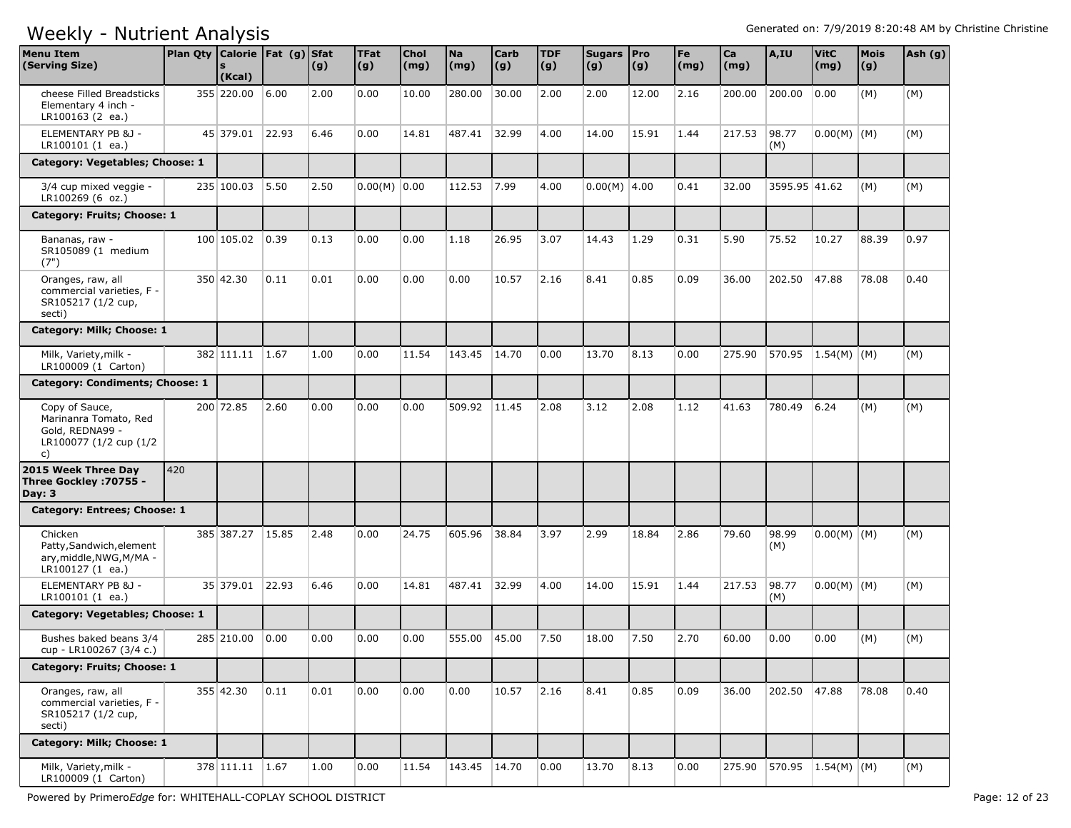| <b>Menu Item</b><br>(Serving Size)                                                         |     | Plan Qty   Calorie   Fat (g)   Sfat<br>$\mathbf{s}$<br>(Kcal) |                | (g)  | <b>TFat</b><br>(g) | <b>Chol</b><br>(mg) | <b>Na</b><br>(mg) | <b>Carb</b><br> (g) | <b>TDF</b><br>(g) | Sugars   Pro<br>(g) | $\vert (g) \vert$ | Fe<br>(mg) | Ca<br>(mg) | A,IU               | <b>VitC</b><br>(mg) | <b>Mois</b><br>(g) | Ash (g) |
|--------------------------------------------------------------------------------------------|-----|---------------------------------------------------------------|----------------|------|--------------------|---------------------|-------------------|---------------------|-------------------|---------------------|-------------------|------------|------------|--------------------|---------------------|--------------------|---------|
| cheese Filled Breadsticks<br>Elementary 4 inch -<br>LR100163 (2 ea.)                       |     | 355 220.00                                                    | 6.00           | 2.00 | 0.00               | 10.00               | 280.00            | 30.00               | 2.00              | 2.00                | 12.00             | 2.16       | 200.00     | 200.00             | 0.00                | (M)                | (M)     |
| ELEMENTARY PB & 1 -<br>LR100101 (1 ea.)                                                    |     | 45 379.01 22.93                                               |                | 6.46 | 0.00               | 14.81               | 487.41            | 32.99               | 4.00              | 14.00               | 15.91             | 1.44       | 217.53     | 98.77<br>(M)       | $0.00(M)$ (M)       |                    | (M)     |
| Category: Vegetables; Choose: 1                                                            |     |                                                               |                |      |                    |                     |                   |                     |                   |                     |                   |            |            |                    |                     |                    |         |
| 3/4 cup mixed veggie -<br>LR100269 (6 oz.)                                                 |     | 235 100.03                                                    | 5.50           | 2.50 | $0.00(M)$ 0.00     |                     | 112.53            | 7.99                | 4.00              | $0.00(M)$ 4.00      |                   | 0.41       | 32.00      | 3595.95 41.62      |                     | (M)                | (M)     |
| Category: Fruits; Choose: 1                                                                |     |                                                               |                |      |                    |                     |                   |                     |                   |                     |                   |            |            |                    |                     |                    |         |
| Bananas, raw -<br>SR105089 (1 medium<br>(7")                                               |     | 100 105.02                                                    | $ 0.39\rangle$ | 0.13 | 0.00               | 0.00                | 1.18              | 26.95               | 3.07              | 14.43               | 1.29              | 0.31       | 5.90       | 75.52              | 10.27               | 88.39              | 0.97    |
| Oranges, raw, all<br>commercial varieties, F -<br>SR105217 (1/2 cup,<br>secti)             |     | 350 42.30                                                     | 0.11           | 0.01 | 0.00               | 0.00                | 0.00              | 10.57               | 2.16              | 8.41                | 0.85              | 0.09       | 36.00      | 202.50             | 47.88               | 78.08              | 0.40    |
| Category: Milk; Choose: 1                                                                  |     |                                                               |                |      |                    |                     |                   |                     |                   |                     |                   |            |            |                    |                     |                    |         |
| Milk, Variety, milk -<br>LR100009 (1 Carton)                                               |     | 382 111.11 1.67                                               |                | 1.00 | 0.00               | 11.54               | 143.45            | 14.70               | 0.00              | 13.70               | 8.13              | 0.00       | 275.90     | 570.95             | $1.54(M)$ (M)       |                    | (M)     |
| Category: Condiments; Choose: 1                                                            |     |                                                               |                |      |                    |                     |                   |                     |                   |                     |                   |            |            |                    |                     |                    |         |
| Copy of Sauce,<br>Marinanra Tomato, Red<br>Gold, REDNA99 -<br>LR100077 (1/2 cup (1/2<br>c) |     | 200 72.85                                                     | 2.60           | 0.00 | 0.00               | 0.00                | 509.92            | 11.45               | 2.08              | 3.12                | 2.08              | 1.12       | 41.63      | 780.49             | 6.24                | (M)                | (M)     |
| 2015 Week Three Day<br>Three Gockley : 70755 -<br>Day: $3$                                 | 420 |                                                               |                |      |                    |                     |                   |                     |                   |                     |                   |            |            |                    |                     |                    |         |
| Category: Entrees; Choose: 1                                                               |     |                                                               |                |      |                    |                     |                   |                     |                   |                     |                   |            |            |                    |                     |                    |         |
| Chicken<br>Patty, Sandwich, element<br>ary, middle, NWG, M/MA -<br>LR100127 (1 ea.)        |     | 385 387.27                                                    | 15.85          | 2.48 | 0.00               | 24.75               | 605.96            | 38.84               | 3.97              | 2.99                | 18.84             | 2.86       | 79.60      | 98.99<br>(M)       | $0.00(M)$ $(M)$     |                    | (M)     |
| ELEMENTARY PB &J -<br>LR100101 (1 ea.)                                                     |     | 35 379.01                                                     | 22.93          | 6.46 | 0.00               | 14.81               | 487.41            | 32.99               | 4.00              | 14.00               | 15.91             | 1.44       | 217.53     | 98.77<br>(M)       | $0.00(M)$ (M)       |                    | (M)     |
| Category: Vegetables; Choose: 1                                                            |     |                                                               |                |      |                    |                     |                   |                     |                   |                     |                   |            |            |                    |                     |                    |         |
| Bushes baked beans 3/4<br>cup - LR100267 (3/4 c.)                                          |     | 285 210.00                                                    | 0.00           | 0.00 | 0.00               | 0.00                | 555.00            | 45.00               | 7.50              | 18.00               | 7.50              | 2.70       | 60.00      | 0.00               | 0.00                | (M)                | (M)     |
| Category: Fruits; Choose: 1                                                                |     |                                                               |                |      |                    |                     |                   |                     |                   |                     |                   |            |            |                    |                     |                    |         |
| Oranges, raw, all<br>commercial varieties, F -<br>SR105217 (1/2 cup,<br>secti)             |     | 355 42.30                                                     | 0.11           | 0.01 | 0.00               | 0.00                | 0.00              | 10.57               | 2.16              | 8.41                | 0.85              | 0.09       | 36.00      | 202.50             | 47.88               | 78.08              | 0.40    |
| Category: Milk; Choose: 1                                                                  |     |                                                               |                |      |                    |                     |                   |                     |                   |                     |                   |            |            |                    |                     |                    |         |
| Milk, Variety, milk -<br>LR100009 (1 Carton)                                               |     | 378 111.11 1.67                                               |                | 1.00 | 0.00               | 11.54               | 143.45 14.70      |                     | 0.00              | 13.70               | 8.13              | 0.00       | 275.90     | 570.95 1.54(M) (M) |                     |                    | (M)     |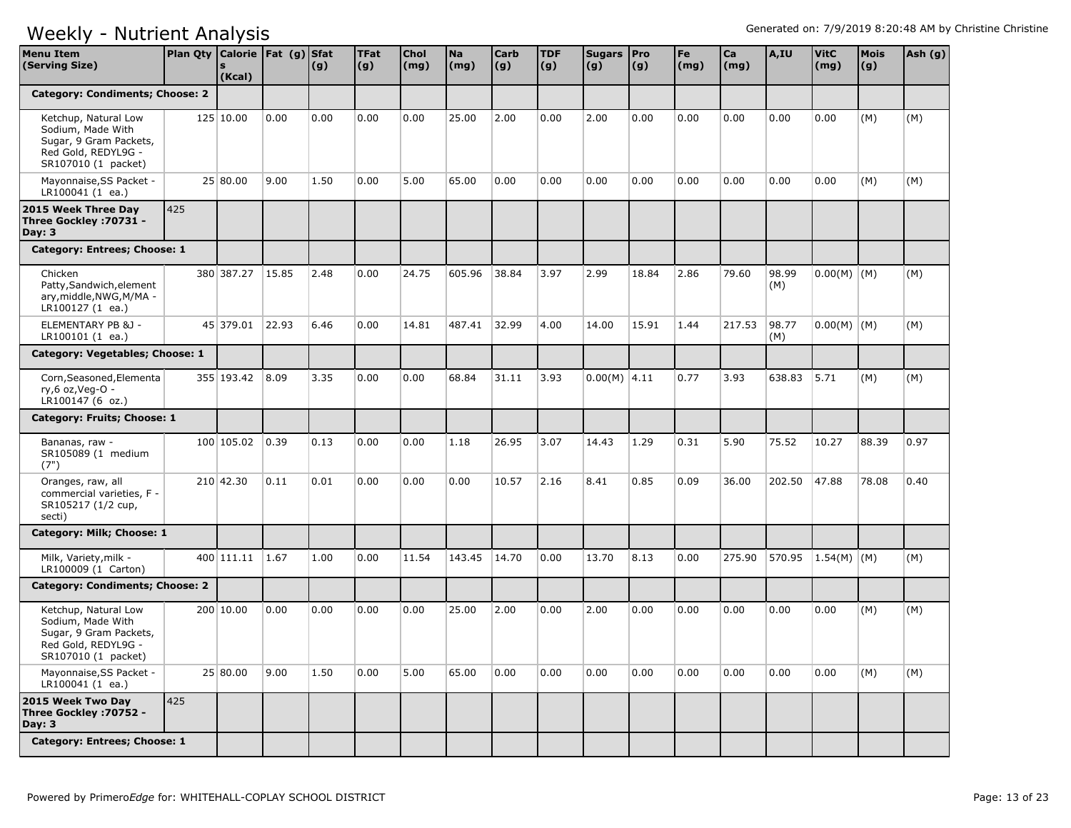| <b>Menu Item</b><br>(Serving Size)                                                                                | Plan Qty   Calorie   Fat (g)   Sfat | (Kcal)     |       | (g)  | <b>TFat</b><br> (g) | <b>Chol</b><br>$\mathsf{(mg)}$ | <b>Na</b><br>(mg) | <b>Carb</b><br> (g) | <b>TDF</b><br>(g) | Sugars Pro<br>(g) | (g)   | Fe<br>(mg) | Ca<br>(mg) | A,IU         | <b>VitC</b><br>(mg) | <b>Mois</b><br>(g) | Ash (g) |
|-------------------------------------------------------------------------------------------------------------------|-------------------------------------|------------|-------|------|---------------------|--------------------------------|-------------------|---------------------|-------------------|-------------------|-------|------------|------------|--------------|---------------------|--------------------|---------|
| <b>Category: Condiments; Choose: 2</b>                                                                            |                                     |            |       |      |                     |                                |                   |                     |                   |                   |       |            |            |              |                     |                    |         |
| Ketchup, Natural Low<br>Sodium, Made With<br>Sugar, 9 Gram Packets,<br>Red Gold, REDYL9G -<br>SR107010 (1 packet) |                                     | 125 10.00  | 0.00  | 0.00 | 0.00                | 0.00                           | 25.00             | 2.00                | 0.00              | 2.00              | 0.00  | 0.00       | 0.00       | 0.00         | 0.00                | (M)                | (M)     |
| Mayonnaise, SS Packet -<br>LR100041 (1 ea.)                                                                       |                                     | 25 80.00   | 9.00  | 1.50 | 0.00                | 5.00                           | 65.00             | 0.00                | 0.00              | 0.00              | 0.00  | 0.00       | 0.00       | 0.00         | 0.00                | (M)                | (M)     |
| 2015 Week Three Day<br>Three Gockley : 70731 -<br>Day: $3$                                                        | 425                                 |            |       |      |                     |                                |                   |                     |                   |                   |       |            |            |              |                     |                    |         |
| Category: Entrees; Choose: 1                                                                                      |                                     |            |       |      |                     |                                |                   |                     |                   |                   |       |            |            |              |                     |                    |         |
| Chicken<br>Patty, Sandwich, element<br>ary, middle, NWG, M/MA -<br>LR100127 (1 ea.)                               |                                     | 380 387.27 | 15.85 | 2.48 | 0.00                | 24.75                          | 605.96            | 38.84               | 3.97              | 2.99              | 18.84 | 2.86       | 79.60      | 98.99<br>(M) | $0.00(M)$ (M)       |                    | (M)     |
| ELEMENTARY PB &J -<br>LR100101 (1 ea.)                                                                            |                                     | 45 379.01  | 22.93 | 6.46 | 0.00                | 14.81                          | 487.41            | 32.99               | 4.00              | 14.00             | 15.91 | 1.44       | 217.53     | 98.77<br>(M) | $0.00(M)$ (M)       |                    | (M)     |
| Category: Vegetables; Choose: 1                                                                                   |                                     |            |       |      |                     |                                |                   |                     |                   |                   |       |            |            |              |                     |                    |         |
| Corn, Seasoned, Elementa<br>ry,6 oz, Veg-O -<br>LR100147 (6 oz.)                                                  |                                     | 355 193.42 | 8.09  | 3.35 | 0.00                | 0.00                           | 68.84             | 31.11               | 3.93              | $0.00(M)$ 4.11    |       | 0.77       | 3.93       | 638.83       | 5.71                | (M)                | (M)     |
| Category: Fruits; Choose: 1                                                                                       |                                     |            |       |      |                     |                                |                   |                     |                   |                   |       |            |            |              |                     |                    |         |
| Bananas, raw -<br>SR105089 (1 medium<br>(7")                                                                      |                                     | 100 105.02 | 0.39  | 0.13 | 0.00                | 0.00                           | 1.18              | 26.95               | 3.07              | 14.43             | 1.29  | 0.31       | 5.90       | 75.52        | 10.27               | 88.39              | 0.97    |
| Oranges, raw, all<br>commercial varieties, F -<br>SR105217 (1/2 cup,<br>secti)                                    |                                     | 210 42.30  | 0.11  | 0.01 | 0.00                | 0.00                           | 0.00              | 10.57               | 2.16              | 8.41              | 0.85  | 0.09       | 36.00      | 202.50       | 47.88               | 78.08              | 0.40    |
| Category: Milk; Choose: 1                                                                                         |                                     |            |       |      |                     |                                |                   |                     |                   |                   |       |            |            |              |                     |                    |         |
| Milk, Variety, milk -<br>LR100009 (1 Carton)                                                                      |                                     | 400 111.11 | 1.67  | 1.00 | 0.00                | 11.54                          | 143.45            | 14.70               | 0.00              | 13.70             | 8.13  | 0.00       | 275.90     | 570.95       | $1.54(M)$ (M)       |                    | (M)     |
| <b>Category: Condiments; Choose: 2</b>                                                                            |                                     |            |       |      |                     |                                |                   |                     |                   |                   |       |            |            |              |                     |                    |         |
| Ketchup, Natural Low<br>Sodium, Made With<br>Sugar, 9 Gram Packets,<br>Red Gold, REDYL9G -<br>SR107010 (1 packet) |                                     | 200 10.00  | 0.00  | 0.00 | 0.00                | 0.00                           | 25.00             | 2.00                | 0.00              | 2.00              | 0.00  | 0.00       | 0.00       | 0.00         | 0.00                | (M)                | (M)     |
| Mayonnaise, SS Packet -<br>LR100041 (1 ea.)                                                                       |                                     | 25 80.00   | 9.00  | 1.50 | 0.00                | 5.00                           | 65.00             | 0.00                | 0.00              | 0.00              | 0.00  | 0.00       | 0.00       | 0.00         | 0.00                | (M)                | (M)     |
| 2015 Week Two Day<br>Three Gockley : 70752 -<br>Day: $3$                                                          | 425                                 |            |       |      |                     |                                |                   |                     |                   |                   |       |            |            |              |                     |                    |         |
| Category: Entrees; Choose: 1                                                                                      |                                     |            |       |      |                     |                                |                   |                     |                   |                   |       |            |            |              |                     |                    |         |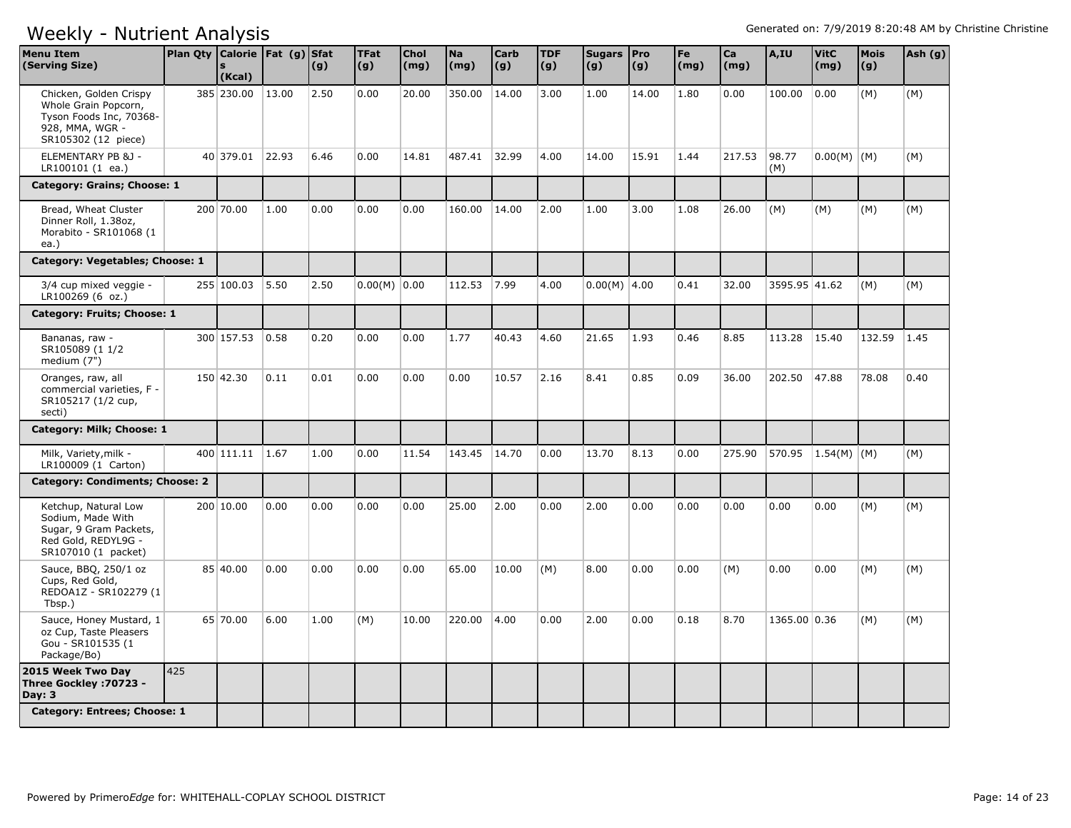| <b>Menu Item</b><br>(Serving Size)                                                                                  | Plan Qty Calorie Fat (g) Sfat | (Kcal)          |       | (g)  | <b>TFat</b><br>(g) | Chol<br>(mg) | Na<br>(mg) | <b>Carb</b><br>(g) | <b>TDF</b><br>(g) | Sugars   Pro<br>(g) | (g)   | Fe<br>(mg) | Ca<br>(mq) | A,IU               | <b>VitC</b><br>(mg) | <b>Mois</b><br>(g) | Ash (g) |
|---------------------------------------------------------------------------------------------------------------------|-------------------------------|-----------------|-------|------|--------------------|--------------|------------|--------------------|-------------------|---------------------|-------|------------|------------|--------------------|---------------------|--------------------|---------|
| Chicken, Golden Crispy<br>Whole Grain Popcorn,<br>Tyson Foods Inc, 70368-<br>928, MMA, WGR -<br>SR105302 (12 piece) |                               | 385 230.00      | 13.00 | 2.50 | 0.00               | 20.00        | 350.00     | 14.00              | 3.00              | 1.00                | 14.00 | 1.80       | 0.00       | 100.00             | 0.00                | (M)                | (M)     |
| ELEMENTARY PB &J -<br>LR100101 (1 ea.)                                                                              |                               | 40 379.01       | 22.93 | 6.46 | 0.00               | 14.81        | 487.41     | 32.99              | 4.00              | 14.00               | 15.91 | 1.44       | 217.53     | 98.77<br>(M)       | $0.00(M)$ (M)       |                    | (M)     |
| Category: Grains; Choose: 1                                                                                         |                               |                 |       |      |                    |              |            |                    |                   |                     |       |            |            |                    |                     |                    |         |
| Bread, Wheat Cluster<br>Dinner Roll, 1.38oz,<br>Morabito - SR101068 (1<br>ea.)                                      |                               | 200 70.00       | 1.00  | 0.00 | 0.00               | 0.00         | 160.00     | 14.00              | 2.00              | 1.00                | 3.00  | 1.08       | 26.00      | (M)                | (M)                 | (M)                | (M)     |
| Category: Vegetables; Choose: 1                                                                                     |                               |                 |       |      |                    |              |            |                    |                   |                     |       |            |            |                    |                     |                    |         |
| 3/4 cup mixed veggie -<br>LR100269 (6 oz.)                                                                          |                               | 255 100.03      | 5.50  | 2.50 | $0.00(M)$ 0.00     |              | 112.53     | 7.99               | 4.00              | $0.00(M)$ 4.00      |       | 0.41       | 32.00      | 3595.95 41.62      |                     | (M)                | (M)     |
| Category: Fruits; Choose: 1                                                                                         |                               |                 |       |      |                    |              |            |                    |                   |                     |       |            |            |                    |                     |                    |         |
| Bananas, raw -<br>SR105089 (1 1/2<br>medium $(7")$                                                                  |                               | 300 157.53      | 0.58  | 0.20 | 0.00               | 0.00         | 1.77       | 40.43              | 4.60              | 21.65               | 1.93  | 0.46       | 8.85       | 113.28             | 15.40               | 132.59             | 1.45    |
| Oranges, raw, all<br>commercial varieties, F -<br>SR105217 (1/2 cup,<br>secti)                                      |                               | 150 42.30       | 0.11  | 0.01 | 0.00               | 0.00         | 0.00       | 10.57              | 2.16              | 8.41                | 0.85  | 0.09       | 36.00      | 202.50             | 47.88               | 78.08              | 0.40    |
| Category: Milk; Choose: 1                                                                                           |                               |                 |       |      |                    |              |            |                    |                   |                     |       |            |            |                    |                     |                    |         |
| Milk, Variety, milk -<br>LR100009 (1 Carton)                                                                        |                               | 400 111.11 1.67 |       | 1.00 | 0.00               | 11.54        | 143.45     | 14.70              | 0.00              | 13.70               | 8.13  | 0.00       | 275.90     | 570.95 1.54(M) (M) |                     |                    | (M)     |
| <b>Category: Condiments; Choose: 2</b>                                                                              |                               |                 |       |      |                    |              |            |                    |                   |                     |       |            |            |                    |                     |                    |         |
| Ketchup, Natural Low<br>Sodium, Made With<br>Sugar, 9 Gram Packets,<br>Red Gold, REDYL9G -<br>SR107010 (1 packet)   |                               | 200 10.00       | 0.00  | 0.00 | 0.00               | 0.00         | 25.00      | 2.00               | 0.00              | 2.00                | 0.00  | 0.00       | 0.00       | 0.00               | 0.00                | (M)                | (M)     |
| Sauce, BBQ, 250/1 oz<br>Cups, Red Gold,<br>REDOA1Z - SR102279 (1<br>Tbsp.)                                          |                               | 85 40.00        | 0.00  | 0.00 | 0.00               | 0.00         | 65.00      | 10.00              | (M)               | 8.00                | 0.00  | 0.00       | (M)        | 0.00               | 0.00                | (M)                | (M)     |
| Sauce, Honey Mustard, 1<br>oz Cup, Taste Pleasers<br>Gou - SR101535 (1<br>Package/Bo)                               |                               | 65 70.00        | 6.00  | 1.00 | (M)                | 10.00        | 220.00     | 4.00               | 0.00              | 2.00                | 0.00  | 0.18       | 8.70       | 1365.00 0.36       |                     | (M)                | (M)     |
| 2015 Week Two Day<br>Three Gockley : 70723 -<br>Day: $3$                                                            | 425                           |                 |       |      |                    |              |            |                    |                   |                     |       |            |            |                    |                     |                    |         |
| Category: Entrees; Choose: 1                                                                                        |                               |                 |       |      |                    |              |            |                    |                   |                     |       |            |            |                    |                     |                    |         |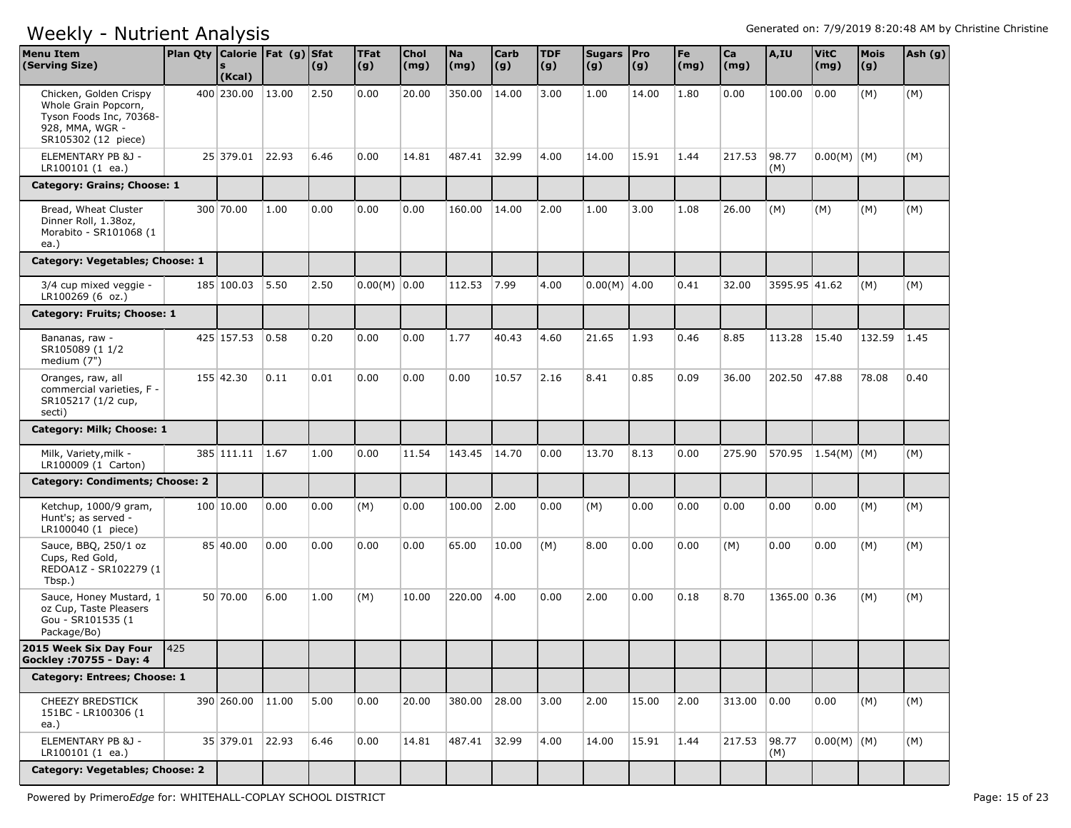| <b>Menu Item</b><br>(Serving Size)                                                                                  | Plan Qty Calorie   Fat (g) Sfat | (Kcal)           |       | (g)  | <b>TFat</b><br>(g) | <b>Chol</b><br>(mg) | <b>Na</b><br>(mg) | <b>Carb</b><br>(g) | <b>TDF</b><br> (g) | Sugars Pro<br>(g) | (g)   | Fe<br>(mg) | Ca<br>(mg)  | A,IU          | <b>VitC</b><br>(mg) | <b>Mois</b><br>(g) | Ash (g) |
|---------------------------------------------------------------------------------------------------------------------|---------------------------------|------------------|-------|------|--------------------|---------------------|-------------------|--------------------|--------------------|-------------------|-------|------------|-------------|---------------|---------------------|--------------------|---------|
| Chicken, Golden Crispy<br>Whole Grain Popcorn,<br>Tyson Foods Inc, 70368-<br>928, MMA, WGR -<br>SR105302 (12 piece) |                                 | 400 230.00       | 13.00 | 2.50 | 0.00               | 20.00               | 350.00            | 14.00              | 3.00               | 1.00              | 14.00 | 1.80       | 0.00        | 100.00        | 0.00                | (M)                | (M)     |
| ELEMENTARY PB &J -<br>LR100101 (1 ea.)                                                                              |                                 | 25 379.01        | 22.93 | 6.46 | 0.00               | 14.81               | 487.41            | 32.99              | 4.00               | 14.00             | 15.91 | 1.44       | 217.53      | 98.77<br>(M)  | $0.00(M)$ (M)       |                    | (M)     |
| Category: Grains; Choose: 1                                                                                         |                                 |                  |       |      |                    |                     |                   |                    |                    |                   |       |            |             |               |                     |                    |         |
| Bread, Wheat Cluster<br>Dinner Roll, 1.38oz,<br>Morabito - SR101068 (1<br>ea.)                                      |                                 | 300 70.00        | 1.00  | 0.00 | 0.00               | 0.00                | 160.00            | 14.00              | 2.00               | 1.00              | 3.00  | 1.08       | 26.00       | (M)           | (M)                 | (M)                | (M)     |
| Category: Vegetables; Choose: 1                                                                                     |                                 |                  |       |      |                    |                     |                   |                    |                    |                   |       |            |             |               |                     |                    |         |
| 3/4 cup mixed veggie -<br>LR100269 (6 oz.)                                                                          |                                 | 185 100.03       | 5.50  | 2.50 | $0.00(M)$ 0.00     |                     | 112.53            | 7.99               | 4.00               | $0.00(M)$ 4.00    |       | 0.41       | 32.00       | 3595.95 41.62 |                     | (M)                | (M)     |
| Category: Fruits; Choose: 1                                                                                         |                                 |                  |       |      |                    |                     |                   |                    |                    |                   |       |            |             |               |                     |                    |         |
| Bananas, raw -<br>SR105089 (1 1/2<br>medium (7")                                                                    |                                 | 425 157.53       | 0.58  | 0.20 | 0.00               | 0.00                | 1.77              | 40.43              | 4.60               | 21.65             | 1.93  | 0.46       | 8.85        | 113.28        | 15.40               | 132.59             | 1.45    |
| Oranges, raw, all<br>commercial varieties. F -<br>SR105217 (1/2 cup,<br>secti)                                      |                                 | 155 42.30        | 0.11  | 0.01 | 0.00               | 0.00                | 0.00              | 10.57              | 2.16               | 8.41              | 0.85  | 0.09       | 36.00       | 202.50        | 47.88               | 78.08              | 0.40    |
| Category: Milk; Choose: 1                                                                                           |                                 |                  |       |      |                    |                     |                   |                    |                    |                   |       |            |             |               |                     |                    |         |
| Milk, Variety, milk -<br>LR100009 (1 Carton)                                                                        |                                 | 385 111.11       | 1.67  | 1.00 | 0.00               | 11.54               | 143.45            | 14.70              | 0.00               | 13.70             | 8.13  | 0.00       | 275.90      | 570.95        | $1.54(M)$ (M)       |                    | (M)     |
| Category: Condiments; Choose: 2                                                                                     |                                 |                  |       |      |                    |                     |                   |                    |                    |                   |       |            |             |               |                     |                    |         |
| Ketchup, 1000/9 gram,<br>Hunt's; as served -<br>LR100040 (1 piece)                                                  |                                 | 100 10.00        | 0.00  | 0.00 | (M)                | 0.00                | 100.00            | 2.00               | 0.00               | (M)               | 0.00  | 0.00       | 0.00        | 0.00          | 0.00                | (M)                | (M)     |
| Sauce, BBQ, 250/1 oz<br>Cups, Red Gold,<br>REDOA1Z - SR102279 (1<br>Tbsp.)                                          |                                 | 85 40.00         | 0.00  | 0.00 | 0.00               | 0.00                | 65.00             | 10.00              | (M)                | 8.00              | 0.00  | 0.00       | (M)         | 0.00          | 0.00                | (M)                | (M)     |
| Sauce, Honey Mustard, 1<br>oz Cup, Taste Pleasers<br>Gou - SR101535 (1<br>Package/Bo)                               |                                 | 50 70.00         | 6.00  | 1.00 | (M)                | 10.00               | 220.00            | 4.00               | 0.00               | 2.00              | 0.00  | 0.18       | 8.70        | 1365.00 0.36  |                     | (M)                | (M)     |
| 2015 Week Six Day Four<br>Gockley : 70755 - Day: 4                                                                  | 425                             |                  |       |      |                    |                     |                   |                    |                    |                   |       |            |             |               |                     |                    |         |
| Category: Entrees; Choose: 1                                                                                        |                                 |                  |       |      |                    |                     |                   |                    |                    |                   |       |            |             |               |                     |                    |         |
| <b>CHEEZY BREDSTICK</b><br>151BC - LR100306 (1<br>ea.)                                                              |                                 | 390 260.00 11.00 |       | 5.00 | 0.00               | 20.00               | 380.00 28.00      |                    | 3.00               | 2.00              | 15.00 | 2.00       | 313.00 0.00 |               | 0.00                | (M)                | (M)     |
| ELEMENTARY PB &J -<br>LR100101 (1 ea.)                                                                              |                                 | 35 379.01 22.93  |       | 6.46 | 0.00               | 14.81               | 487.41 32.99      |                    | 4.00               | 14.00             | 15.91 | 1.44       | 217.53      | 98.77<br>(M)  | $0.00(M)$ (M)       |                    | (M)     |
| Category: Vegetables; Choose: 2                                                                                     |                                 |                  |       |      |                    |                     |                   |                    |                    |                   |       |            |             |               |                     |                    |         |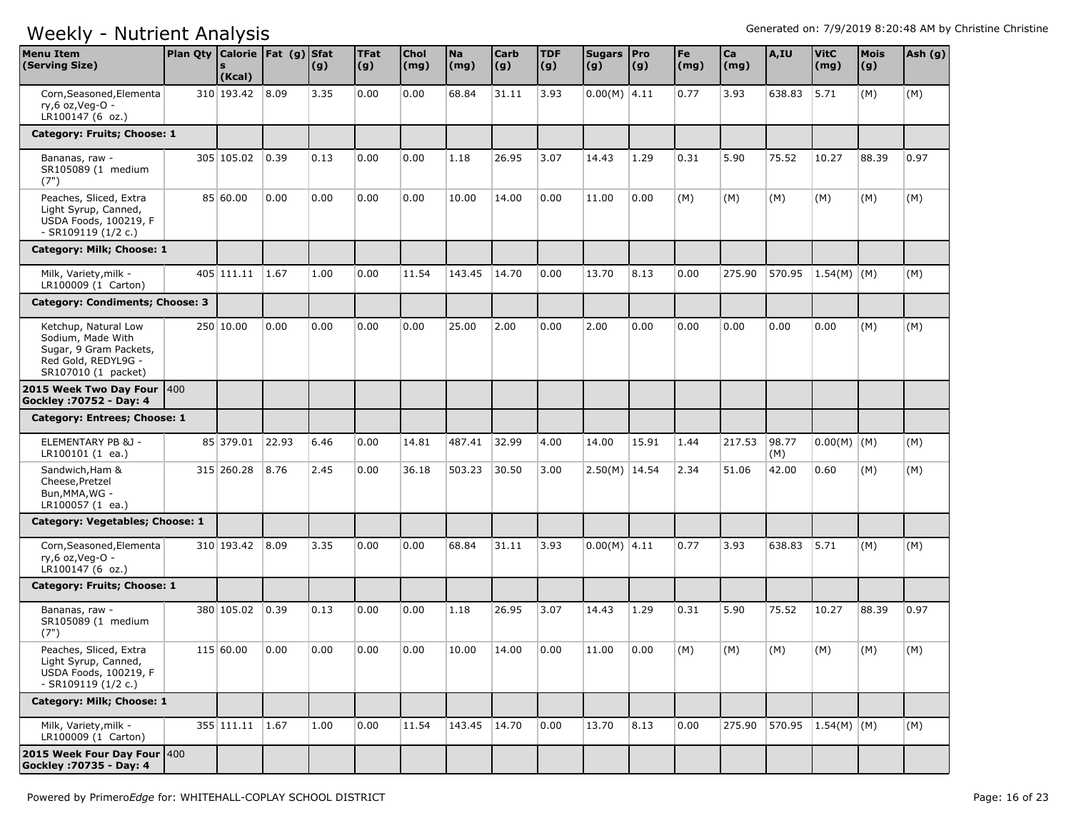| <b>Menu Item</b><br>(Serving Size)                                                                                | Plan Qty Calorie   Fat (g) Sfat | (Kcal)          |       | (g)  | <b>TFat</b><br> (g) | <b>Chol</b><br>(mg) | <b>Na</b><br>(mg) | Carb<br>(g) | <b>TDF</b><br>(g) | Sugars   Pro<br>(g) | (g)   | Fe<br>(mg) | Ca<br>(mg) | A,IU         | <b>VitC</b><br>(mg) | <b>Mois</b><br>(g) | Ash (g) |
|-------------------------------------------------------------------------------------------------------------------|---------------------------------|-----------------|-------|------|---------------------|---------------------|-------------------|-------------|-------------------|---------------------|-------|------------|------------|--------------|---------------------|--------------------|---------|
| Corn, Seasoned, Elementa<br>ry,6 oz, Veg-O -<br>LR100147 (6 oz.)                                                  |                                 | 310 193.42 8.09 |       | 3.35 | 0.00                | 0.00                | 68.84             | 31.11       | 3.93              | $0.00(M)$ 4.11      |       | 0.77       | 3.93       | 638.83       | 5.71                | (M)                | (M)     |
| Category: Fruits; Choose: 1                                                                                       |                                 |                 |       |      |                     |                     |                   |             |                   |                     |       |            |            |              |                     |                    |         |
| Bananas, raw -<br>SR105089 (1 medium<br>(7")                                                                      |                                 | 305 105.02      | 0.39  | 0.13 | 0.00                | 0.00                | 1.18              | 26.95       | 3.07              | 14.43               | 1.29  | 0.31       | 5.90       | 75.52        | 10.27               | 88.39              | 0.97    |
| Peaches, Sliced, Extra<br>Light Syrup, Canned,<br>USDA Foods, 100219, F<br>- SR109119 (1/2 c.)                    |                                 | 85 60.00        | 0.00  | 0.00 | 0.00                | 0.00                | 10.00             | 14.00       | 0.00              | 11.00               | 0.00  | (M)        | (M)        | (M)          | (M)                 | (M)                | (M)     |
| Category: Milk; Choose: 1                                                                                         |                                 |                 |       |      |                     |                     |                   |             |                   |                     |       |            |            |              |                     |                    |         |
| Milk, Variety, milk -<br>LR100009 (1 Carton)                                                                      |                                 | 405 111.11      | 1.67  | 1.00 | 0.00                | 11.54               | 143.45            | 14.70       | 0.00              | 13.70               | 8.13  | 0.00       | 275.90     | 570.95       | $1.54(M)$ (M)       |                    | (M)     |
| Category: Condiments; Choose: 3                                                                                   |                                 |                 |       |      |                     |                     |                   |             |                   |                     |       |            |            |              |                     |                    |         |
| Ketchup, Natural Low<br>Sodium, Made With<br>Sugar, 9 Gram Packets,<br>Red Gold, REDYL9G -<br>SR107010 (1 packet) |                                 | 250 10.00       | 0.00  | 0.00 | 0.00                | 0.00                | 25.00             | 2.00        | 0.00              | 2.00                | 0.00  | 0.00       | 0.00       | 0.00         | 0.00                | (M)                | (M)     |
| 2015 Week Two Day Four  400<br>Gockley : 70752 - Day: 4                                                           |                                 |                 |       |      |                     |                     |                   |             |                   |                     |       |            |            |              |                     |                    |         |
| Category: Entrees; Choose: 1                                                                                      |                                 |                 |       |      |                     |                     |                   |             |                   |                     |       |            |            |              |                     |                    |         |
| ELEMENTARY PB &J -<br>LR100101(1 ea.)                                                                             |                                 | 85 379.01       | 22.93 | 6.46 | 0.00                | 14.81               | 487.41            | 32.99       | 4.00              | 14.00               | 15.91 | 1.44       | 217.53     | 98.77<br>(M) | $0.00(M)$ (M)       |                    | (M)     |
| Sandwich, Ham &<br>Cheese, Pretzel<br>Bun, MMA, WG -<br>LR100057 (1 ea.)                                          |                                 | 315 260.28      | 8.76  | 2.45 | 0.00                | 36.18               | 503.23            | 30.50       | 3.00              | $2.50(M)$ 14.54     |       | 2.34       | 51.06      | 42.00        | 0.60                | (M)                | (M)     |
| Category: Vegetables; Choose: 1                                                                                   |                                 |                 |       |      |                     |                     |                   |             |                   |                     |       |            |            |              |                     |                    |         |
| Corn, Seasoned, Elementa<br>ry,6 oz, Veg-O -<br>LR100147 (6 oz.)                                                  |                                 | 310 193.42      | 8.09  | 3.35 | 0.00                | 0.00                | 68.84             | 31.11       | 3.93              | $0.00(M)$ 4.11      |       | 0.77       | 3.93       | 638.83       | 5.71                | (M)                | (M)     |
| Category: Fruits; Choose: 1                                                                                       |                                 |                 |       |      |                     |                     |                   |             |                   |                     |       |            |            |              |                     |                    |         |
| Bananas, raw -<br>SR105089 (1 medium<br>(7")                                                                      |                                 | 380 105.02      | 0.39  | 0.13 | 0.00                | 0.00                | 1.18              | 26.95       | 3.07              | 14.43               | 1.29  | 0.31       | 5.90       | 75.52        | 10.27               | 88.39              | 0.97    |
| Peaches, Sliced, Extra<br>Light Syrup, Canned,<br>USDA Foods, 100219, F<br>- SR109119 (1/2 c.)                    |                                 | 115 60.00       | 0.00  | 0.00 | 0.00                | 0.00                | 10.00             | 14.00       | 0.00              | 11.00               | 0.00  | (M)        | (M)        | (M)          | (M)                 | (M)                | (M)     |
| Category: Milk; Choose: 1                                                                                         |                                 |                 |       |      |                     |                     |                   |             |                   |                     |       |            |            |              |                     |                    |         |
| Milk, Variety, milk -<br>LR100009 (1 Carton)                                                                      |                                 | 355 111.11 1.67 |       | 1.00 | 0.00                | 11.54               | 143.45            | 14.70       | 0.00              | 13.70               | 8.13  | 0.00       | 275.90     |              | 570.95 1.54(M) (M)  |                    | (M)     |
| 2015 Week Four Day Four 400<br>Gockley : 70735 - Day: 4                                                           |                                 |                 |       |      |                     |                     |                   |             |                   |                     |       |            |            |              |                     |                    |         |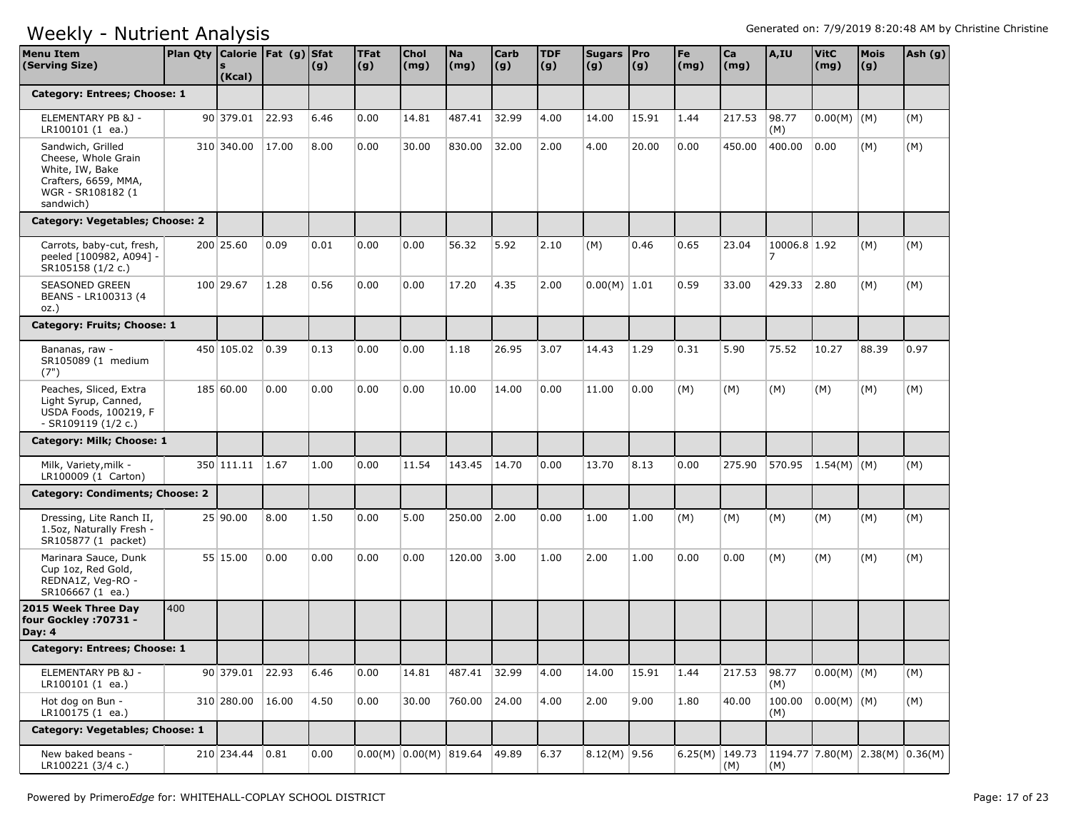| <b>Menu Item</b><br>(Serving Size)                                                                                    | Plan Qty Calorie Fat (g) Sfat | (Kcal)     |       | (g)  | <b>TFat</b><br>$\vert (g) \vert$ | Chol<br>(mg)               | <b>Na</b><br>(mg) | <b>Carb</b><br>(g) | <b>TDF</b><br>(g) | Sugars Pro<br>(g) | (g)   | Fe<br>$\mathsf{(mg)}$ | Ca<br>(mg) | A,IU              | <b>VitC</b><br>(mg)               | Mois<br>(g) | Ash (g) |
|-----------------------------------------------------------------------------------------------------------------------|-------------------------------|------------|-------|------|----------------------------------|----------------------------|-------------------|--------------------|-------------------|-------------------|-------|-----------------------|------------|-------------------|-----------------------------------|-------------|---------|
| Category: Entrees; Choose: 1                                                                                          |                               |            |       |      |                                  |                            |                   |                    |                   |                   |       |                       |            |                   |                                   |             |         |
| ELEMENTARY PB &J -<br>LR100101 (1 ea.)                                                                                |                               | 90 379.01  | 22.93 | 6.46 | 0.00                             | 14.81                      | 487.41            | 32.99              | 4.00              | 14.00             | 15.91 | 1.44                  | 217.53     | 98.77<br>(M)      | $0.00(M)$ (M)                     |             | (M)     |
| Sandwich, Grilled<br>Cheese, Whole Grain<br>White, IW, Bake<br>Crafters, 6659, MMA,<br>WGR - SR108182 (1<br>sandwich) |                               | 310 340.00 | 17.00 | 8.00 | 0.00                             | 30.00                      | 830.00            | 32.00              | 2.00              | 4.00              | 20.00 | 0.00                  | 450.00     | 400.00            | 0.00                              | (M)         | (M)     |
| Category: Vegetables; Choose: 2                                                                                       |                               |            |       |      |                                  |                            |                   |                    |                   |                   |       |                       |            |                   |                                   |             |         |
| Carrots, baby-cut, fresh,<br>peeled [100982, A094] -<br>SR105158 (1/2 c.)                                             |                               | 200 25.60  | 0.09  | 0.01 | 0.00                             | 0.00                       | 56.32             | 5.92               | 2.10              | (M)               | 0.46  | 0.65                  | 23.04      | 10006.8 1.92<br>7 |                                   | (M)         | (M)     |
| <b>SEASONED GREEN</b><br>BEANS - LR100313 (4<br>$OZ.$ )                                                               |                               | 100 29.67  | 1.28  | 0.56 | 0.00                             | 0.00                       | 17.20             | 4.35               | 2.00              | $0.00(M)$ 1.01    |       | 0.59                  | 33.00      | 429.33            | 2.80                              | (M)         | (M)     |
| Category: Fruits; Choose: 1                                                                                           |                               |            |       |      |                                  |                            |                   |                    |                   |                   |       |                       |            |                   |                                   |             |         |
| Bananas, raw -<br>SR105089 (1 medium<br>(7")                                                                          |                               | 450 105.02 | 0.39  | 0.13 | 0.00                             | 0.00                       | 1.18              | 26.95              | 3.07              | 14.43             | 1.29  | 0.31                  | 5.90       | 75.52             | 10.27                             | 88.39       | 0.97    |
| Peaches, Sliced, Extra<br>Light Syrup, Canned,<br>USDA Foods, 100219, F<br>- SR109119 (1/2 c.)                        |                               | 185 60.00  | 0.00  | 0.00 | 0.00                             | 0.00                       | 10.00             | 14.00              | 0.00              | 11.00             | 0.00  | (M)                   | (M)        | (M)               | (M)                               | (M)         | (M)     |
| Category: Milk; Choose: 1                                                                                             |                               |            |       |      |                                  |                            |                   |                    |                   |                   |       |                       |            |                   |                                   |             |         |
| Milk, Variety, milk -<br>LR100009 (1 Carton)                                                                          |                               | 350 111.11 | 1.67  | 1.00 | 0.00                             | 11.54                      | 143.45            | 14.70              | 0.00              | 13.70             | 8.13  | 0.00                  | 275.90     | 570.95            | $ 1.54(M)$ (M)                    |             | (M)     |
| Category: Condiments; Choose: 2                                                                                       |                               |            |       |      |                                  |                            |                   |                    |                   |                   |       |                       |            |                   |                                   |             |         |
| Dressing, Lite Ranch II,<br>1.5oz, Naturally Fresh -<br>SR105877 (1 packet)                                           |                               | 25 90.00   | 8.00  | 1.50 | 0.00                             | 5.00                       | 250.00            | 2.00               | 0.00              | 1.00              | 1.00  | (M)                   | (M)        | (M)               | (M)                               | (M)         | (M)     |
| Marinara Sauce, Dunk<br>Cup 1oz, Red Gold,<br>REDNA1Z, Veg-RO -<br>SR106667 (1 ea.)                                   |                               | 55 15.00   | 0.00  | 0.00 | 0.00                             | 0.00                       | 120.00            | 3.00               | 1.00              | 2.00              | 1.00  | 0.00                  | 0.00       | (M)               | (M)                               | (M)         | (M)     |
| 2015 Week Three Day<br>four Gockley : 70731 -<br>Day: $4$                                                             | 400                           |            |       |      |                                  |                            |                   |                    |                   |                   |       |                       |            |                   |                                   |             |         |
| Category: Entrees; Choose: 1                                                                                          |                               |            |       |      |                                  |                            |                   |                    |                   |                   |       |                       |            |                   |                                   |             |         |
| ELEMENTARY PB &J -<br>LR100101 (1 ea.)                                                                                |                               | 90 379.01  | 22.93 | 6.46 | 0.00                             | 14.81                      | 487.41            | 32.99              | 4.00              | 14.00             | 15.91 | 1.44                  | 217.53     | 98.77<br>(M)      | $0.00(M)$ (M)                     |             | (M)     |
| Hot dog on Bun -<br>LR100175 (1 ea.)                                                                                  |                               | 310 280.00 | 16.00 | 4.50 | 0.00                             | 30.00                      | 760.00            | 24.00              | 4.00              | 2.00              | 9.00  | 1.80                  | 40.00      | 100.00<br>(M)     | $ 0.00(M) $ (M)                   |             | (M)     |
| Category: Vegetables; Choose: 1                                                                                       |                               |            |       |      |                                  |                            |                   |                    |                   |                   |       |                       |            |                   |                                   |             |         |
| New baked beans -<br>LR100221 (3/4 c.)                                                                                |                               | 210 234.44 | 0.81  | 0.00 |                                  | $0.00(M)$ $0.00(M)$ 819.64 |                   | 49.89              | 6.37              | $8.12(M)$ 9.56    |       | 6.25(M) $149.73$      | (M)        | (M)               | $1194.77$ 7.80(M) 2.38(M) 0.36(M) |             |         |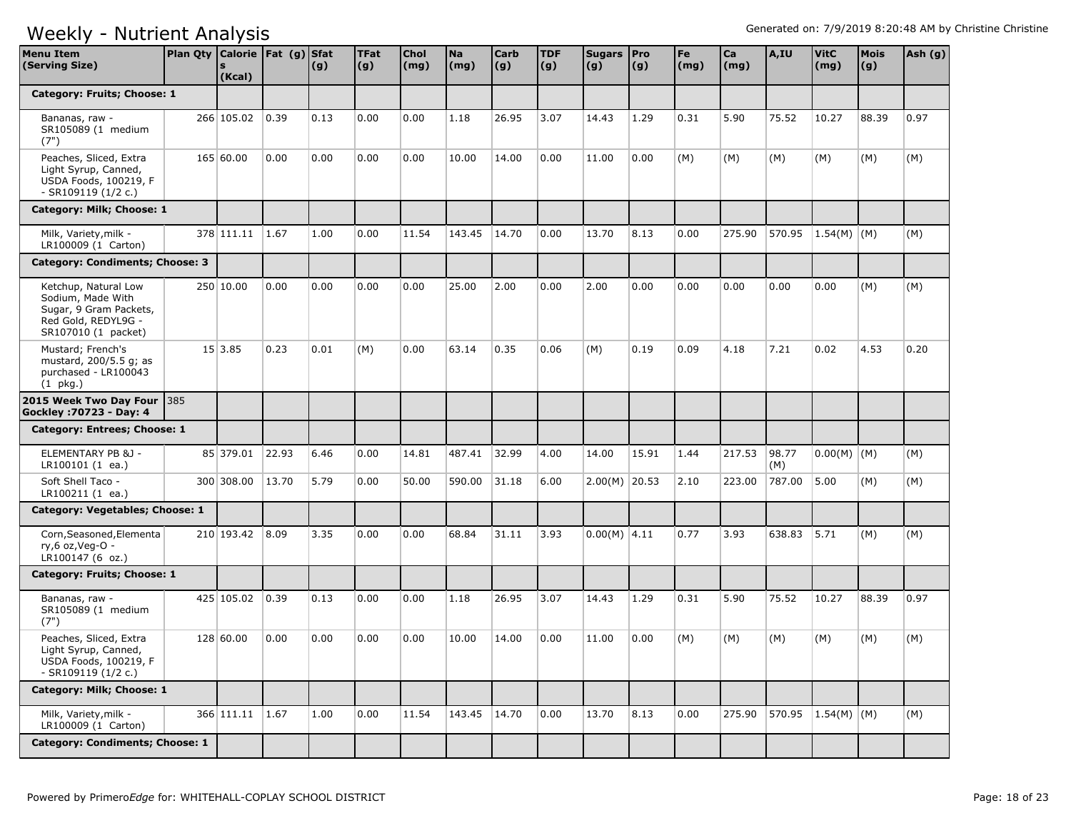| <b>Menu Item</b><br>(Serving Size)                                                                                | Plan Qty   Calorie   Fat (g)   Sfat | (Kcal)          |       | (g)  | <b>TFat</b><br>(g) | Chol<br>(mg) | <b>Na</b><br>(mg) | <b>Carb</b><br> (g) | <b>TDF</b><br>(g) | Sugars Pro<br>(g) | (g)   | Fe<br>(mg) | Ca<br>(mg) | A,IU         | <b>VitC</b><br>(mg) | <b>Mois</b><br>(g) | Ash (g) |
|-------------------------------------------------------------------------------------------------------------------|-------------------------------------|-----------------|-------|------|--------------------|--------------|-------------------|---------------------|-------------------|-------------------|-------|------------|------------|--------------|---------------------|--------------------|---------|
| Category: Fruits; Choose: 1                                                                                       |                                     |                 |       |      |                    |              |                   |                     |                   |                   |       |            |            |              |                     |                    |         |
| Bananas, raw -<br>SR105089 (1 medium<br>(7")                                                                      |                                     | 266 105.02      | 0.39  | 0.13 | 0.00               | 0.00         | 1.18              | 26.95               | 3.07              | 14.43             | 1.29  | 0.31       | 5.90       | 75.52        | 10.27               | 88.39              | 0.97    |
| Peaches, Sliced, Extra<br>Light Syrup, Canned,<br>USDA Foods, 100219, F<br>- SR109119 (1/2 c.)                    |                                     | 165 60.00       | 0.00  | 0.00 | 0.00               | 0.00         | 10.00             | 14.00               | 0.00              | 11.00             | 0.00  | (M)        | (M)        | (M)          | (M)                 | (M)                | (M)     |
| Category: Milk; Choose: 1                                                                                         |                                     |                 |       |      |                    |              |                   |                     |                   |                   |       |            |            |              |                     |                    |         |
| Milk, Variety, milk -<br>LR100009 (1 Carton)                                                                      |                                     | 378 111.11      | 1.67  | 1.00 | 0.00               | 11.54        | 143.45            | 14.70               | 0.00              | 13.70             | 8.13  | 0.00       | 275.90     | 570.95       | $ 1.54(M) $ (M)     |                    | (M)     |
| Category: Condiments; Choose: 3                                                                                   |                                     |                 |       |      |                    |              |                   |                     |                   |                   |       |            |            |              |                     |                    |         |
| Ketchup, Natural Low<br>Sodium, Made With<br>Sugar, 9 Gram Packets,<br>Red Gold, REDYL9G -<br>SR107010 (1 packet) |                                     | 250 10.00       | 0.00  | 0.00 | 0.00               | 0.00         | 25.00             | 2.00                | 0.00              | 2.00              | 0.00  | 0.00       | 0.00       | 0.00         | 0.00                | (M)                | (M)     |
| Mustard; French's<br>mustard, 200/5.5 g; as<br>purchased - LR100043<br>$(1 \overline{pkg})$                       |                                     | 15 3.85         | 0.23  | 0.01 | (M)                | 0.00         | 63.14             | 0.35                | 0.06              | (M)               | 0.19  | 0.09       | 4.18       | 7.21         | 0.02                | 4.53               | 0.20    |
| 2015 Week Two Day Four<br>Gockley : 70723 - Day: 4                                                                | 385                                 |                 |       |      |                    |              |                   |                     |                   |                   |       |            |            |              |                     |                    |         |
| Category: Entrees; Choose: 1                                                                                      |                                     |                 |       |      |                    |              |                   |                     |                   |                   |       |            |            |              |                     |                    |         |
| ELEMENTARY PB &J -<br>LR100101 (1 ea.)                                                                            |                                     | 85 379.01       | 22.93 | 6.46 | 0.00               | 14.81        | 487.41            | 32.99               | 4.00              | 14.00             | 15.91 | 1.44       | 217.53     | 98.77<br>(M) | $0.00(M)$ (M)       |                    | (M)     |
| Soft Shell Taco -<br>LR100211(1 ea.)                                                                              |                                     | 300 308.00      | 13.70 | 5.79 | 0.00               | 50.00        | 590.00            | 31.18               | 6.00              | $2.00(M)$ 20.53   |       | 2.10       | 223.00     | 787.00       | 5.00                | (M)                | (M)     |
| Category: Vegetables; Choose: 1                                                                                   |                                     |                 |       |      |                    |              |                   |                     |                   |                   |       |            |            |              |                     |                    |         |
| Corn, Seasoned, Elementa<br>ry,6 oz, Veg-O -<br>LR100147 (6 oz.)                                                  |                                     | 210 193.42      | 8.09  | 3.35 | 0.00               | 0.00         | 68.84             | 31.11               | 3.93              | $0.00(M)$ 4.11    |       | 0.77       | 3.93       | 638.83       | 5.71                | (M)                | (M)     |
| Category: Fruits; Choose: 1                                                                                       |                                     |                 |       |      |                    |              |                   |                     |                   |                   |       |            |            |              |                     |                    |         |
| Bananas, raw -<br>SR105089 (1 medium<br>(7")                                                                      |                                     | 425 105.02      | 0.39  | 0.13 | 0.00               | 0.00         | 1.18              | 26.95               | 3.07              | 14.43             | 1.29  | 0.31       | 5.90       | 75.52        | 10.27               | 88.39              | 0.97    |
| Peaches, Sliced, Extra<br>Light Syrup, Canned,<br>USDA Foods, 100219, F<br>- SR109119 (1/2 c.)                    |                                     | 128 60.00       | 0.00  | 0.00 | 0.00               | 0.00         | 10.00             | 14.00               | 0.00              | 11.00             | 0.00  | (M)        | (M)        | (M)          | (M)                 | (M)                | (M)     |
| Category: Milk; Choose: 1                                                                                         |                                     |                 |       |      |                    |              |                   |                     |                   |                   |       |            |            |              |                     |                    |         |
| Milk, Variety, milk -<br>LR100009 (1 Carton)                                                                      |                                     | 366 111.11 1.67 |       | 1.00 | 0.00               | 11.54        | 143.45 14.70      |                     | 0.00              | 13.70             | 8.13  | 0.00       | 275.90     |              | 570.95 1.54(M) (M)  |                    | (M)     |
| <b>Category: Condiments; Choose: 1</b>                                                                            |                                     |                 |       |      |                    |              |                   |                     |                   |                   |       |            |            |              |                     |                    |         |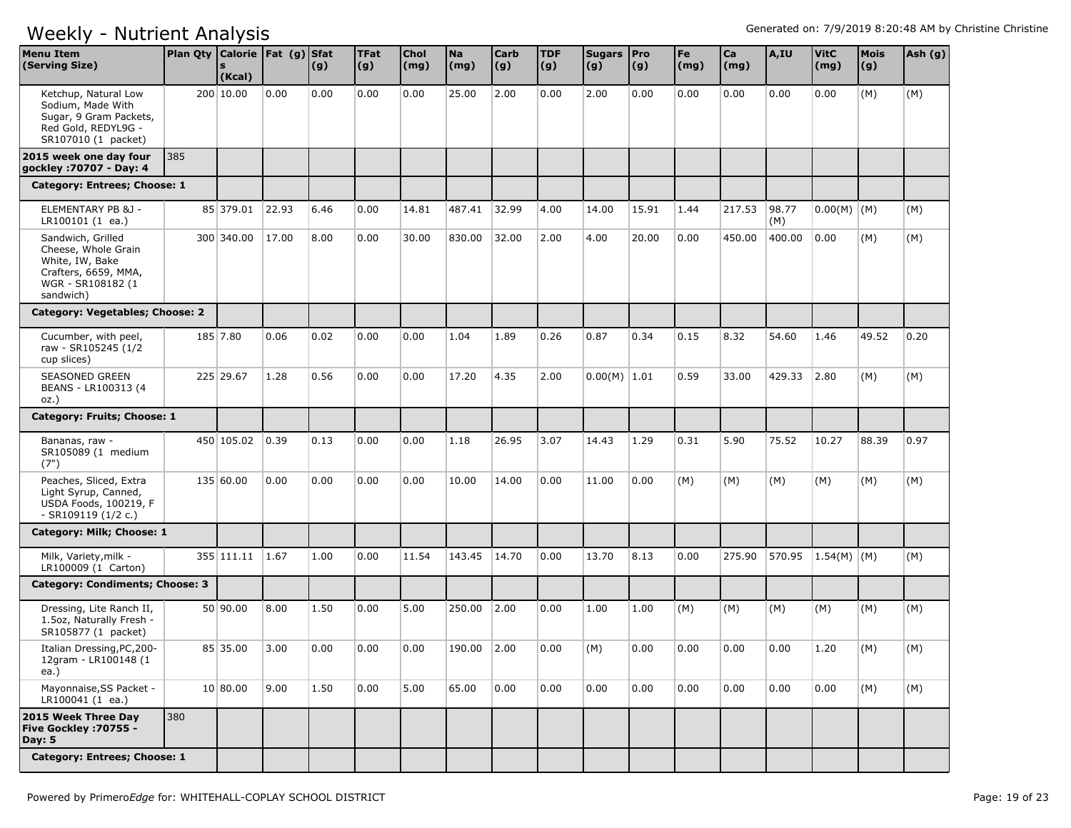| <b>Menu Item</b><br>(Serving Size)                                                                                    | Plan Qty   Calorie   Fat (g)   Sfat | (Kcal)     |       | (g)  | <b>TFat</b><br> (g) | Chol<br>(mg) | <b>Na</b><br>(mg) | <b>Carb</b><br> (g) | <b>TDF</b><br>(g) | Sugars   Pro<br>(g) | (g)   | Fe<br>$\mathsf{(mg)}$ | Ca<br>(mg) | A,IU         | <b>VitC</b><br>(mg) | Mois<br>(g) | Ash (g) |
|-----------------------------------------------------------------------------------------------------------------------|-------------------------------------|------------|-------|------|---------------------|--------------|-------------------|---------------------|-------------------|---------------------|-------|-----------------------|------------|--------------|---------------------|-------------|---------|
| Ketchup, Natural Low<br>Sodium, Made With<br>Sugar, 9 Gram Packets,<br>Red Gold, REDYL9G -<br>SR107010 (1 packet)     |                                     | 200 10.00  | 0.00  | 0.00 | 0.00                | 0.00         | 25.00             | 2.00                | 0.00              | 2.00                | 0.00  | 0.00                  | 0.00       | 0.00         | 0.00                | (M)         | (M)     |
| 2015 week one day four<br>gockley: 70707 - Day: 4                                                                     | 385                                 |            |       |      |                     |              |                   |                     |                   |                     |       |                       |            |              |                     |             |         |
| Category: Entrees; Choose: 1                                                                                          |                                     |            |       |      |                     |              |                   |                     |                   |                     |       |                       |            |              |                     |             |         |
| ELEMENTARY PB &J -<br>LR100101 (1 ea.)                                                                                |                                     | 85 379.01  | 22.93 | 6.46 | 0.00                | 14.81        | 487.41            | 32.99               | 4.00              | 14.00               | 15.91 | 1.44                  | 217.53     | 98.77<br>(M) | $0.00(M)$ (M)       |             | (M)     |
| Sandwich, Grilled<br>Cheese, Whole Grain<br>White, IW, Bake<br>Crafters, 6659, MMA,<br>WGR - SR108182 (1<br>sandwich) |                                     | 300 340.00 | 17.00 | 8.00 | 0.00                | 30.00        | 830.00            | 32.00               | 2.00              | 4.00                | 20.00 | 0.00                  | 450.00     | 400.00       | 0.00                | (M)         | (M)     |
| Category: Vegetables; Choose: 2                                                                                       |                                     |            |       |      |                     |              |                   |                     |                   |                     |       |                       |            |              |                     |             |         |
| Cucumber, with peel,<br>raw - SR105245 (1/2<br>cup slices)                                                            |                                     | 185 7.80   | 0.06  | 0.02 | 0.00                | 0.00         | 1.04              | 1.89                | 0.26              | 0.87                | 0.34  | 0.15                  | 8.32       | 54.60        | 1.46                | 49.52       | 0.20    |
| <b>SEASONED GREEN</b><br>BEANS - LR100313 (4<br>$OZ.$ )                                                               |                                     | 225 29.67  | 1.28  | 0.56 | 0.00                | 0.00         | 17.20             | 4.35                | 2.00              | $0.00(M)$ 1.01      |       | 0.59                  | 33.00      | 429.33       | 2.80                | (M)         | (M)     |
| Category: Fruits; Choose: 1                                                                                           |                                     |            |       |      |                     |              |                   |                     |                   |                     |       |                       |            |              |                     |             |         |
| Bananas, raw -<br>SR105089 (1 medium<br>(7")                                                                          |                                     | 450 105.02 | 0.39  | 0.13 | 0.00                | 0.00         | 1.18              | 26.95               | 3.07              | 14.43               | 1.29  | 0.31                  | 5.90       | 75.52        | 10.27               | 88.39       | 0.97    |
| Peaches, Sliced, Extra<br>Light Syrup, Canned,<br>USDA Foods, 100219, F<br>- SR109119 (1/2 c.)                        |                                     | 135 60.00  | 0.00  | 0.00 | 0.00                | 0.00         | 10.00             | 14.00               | 0.00              | 11.00               | 0.00  | (M)                   | (M)        | (M)          | (M)                 | (M)         | (M)     |
| Category: Milk; Choose: 1                                                                                             |                                     |            |       |      |                     |              |                   |                     |                   |                     |       |                       |            |              |                     |             |         |
| Milk, Variety, milk -<br>LR100009 (1 Carton)                                                                          |                                     | 355 111.11 | 1.67  | 1.00 | 0.00                | 11.54        | 143.45            | 14.70               | 0.00              | 13.70               | 8.13  | 0.00                  | 275.90     |              | 570.95 1.54(M) (M)  |             | (M)     |
| Category: Condiments; Choose: 3                                                                                       |                                     |            |       |      |                     |              |                   |                     |                   |                     |       |                       |            |              |                     |             |         |
| Dressing, Lite Ranch II,<br>1.5oz, Naturally Fresh -<br>SR105877 (1 packet)                                           |                                     | 50 90.00   | 8.00  | 1.50 | 0.00                | 5.00         | 250.00            | 2.00                | 0.00              | 1.00                | 1.00  | (M)                   | (M)        | (M)          | (M)                 | (M)         | (M)     |
| Italian Dressing, PC, 200-<br>12qram - LR100148 (1<br>ea.)                                                            |                                     | 85 35.00   | 3.00  | 0.00 | 0.00                | 0.00         | 190.00            | 2.00                | 0.00              | (M)                 | 0.00  | 0.00                  | 0.00       | 0.00         | 1.20                | (M)         | (M)     |
| Mayonnaise, SS Packet -<br>LR100041 (1 ea.)                                                                           |                                     | 10 80.00   | 9.00  | 1.50 | 0.00                | 5.00         | 65.00             | 0.00                | 0.00              | 0.00                | 0.00  | 0.00                  | 0.00       | 0.00         | 0.00                | (M)         | (M)     |
| 2015 Week Three Day<br>Five Gockley : 70755 -<br>Day: 5                                                               | 380                                 |            |       |      |                     |              |                   |                     |                   |                     |       |                       |            |              |                     |             |         |
| Category: Entrees; Choose: 1                                                                                          |                                     |            |       |      |                     |              |                   |                     |                   |                     |       |                       |            |              |                     |             |         |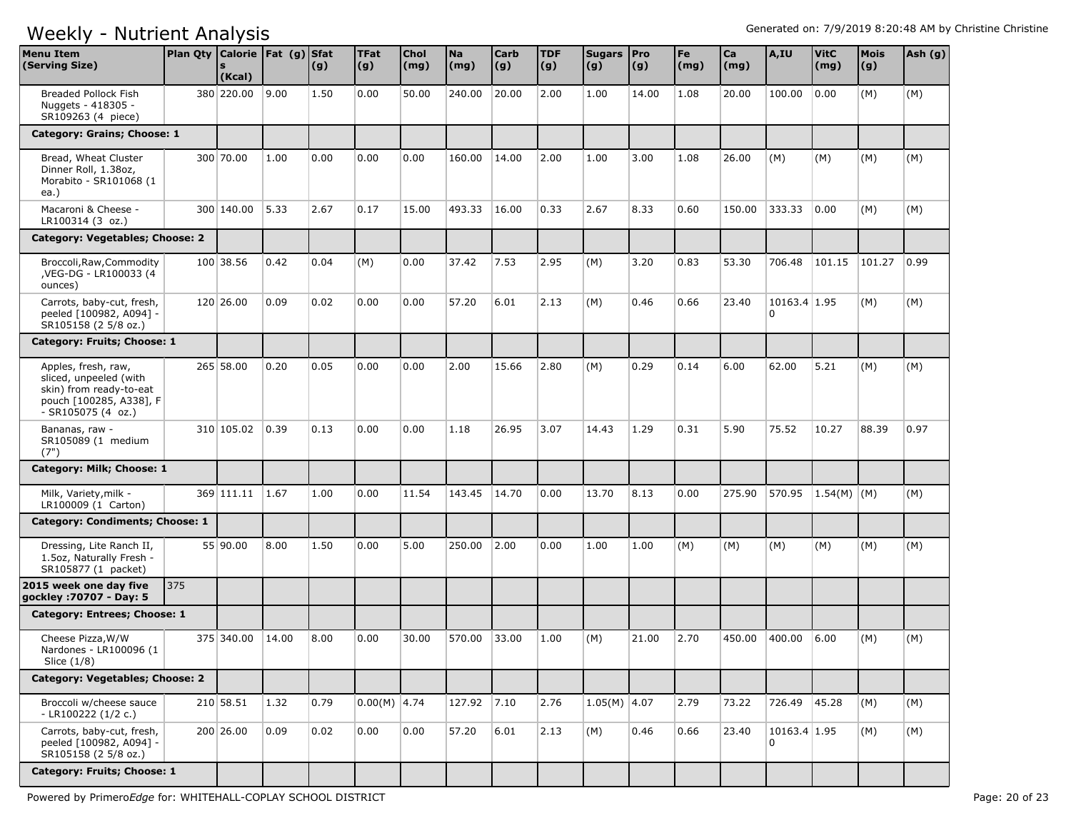| <b>Menu Item</b><br>(Serving Size)                                                                                        | Plan Qty   Calorie   Fat (g)   Sfat | (Kcal)     |       | (g)  | <b>TFat</b><br>(g) | Chol<br>(mg) | <b>Na</b><br>(mg) | <b>Carb</b><br>$\vert (g) \vert$ | <b>TDF</b><br>(g) | Sugars   Pro<br>(g) | $\vert (g) \vert$ | Fe<br>(mg) | Ca<br>(mg) | A,IU                           | <b>VitC</b><br>(mg) | <b>Mois</b><br>(g) | Ash (g) |
|---------------------------------------------------------------------------------------------------------------------------|-------------------------------------|------------|-------|------|--------------------|--------------|-------------------|----------------------------------|-------------------|---------------------|-------------------|------------|------------|--------------------------------|---------------------|--------------------|---------|
| Breaded Pollock Fish<br>Nuggets - 418305 -<br>SR109263 (4 piece)                                                          |                                     | 380 220.00 | 9.00  | 1.50 | 0.00               | 50.00        | 240.00            | 20.00                            | 2.00              | 1.00                | 14.00             | 1.08       | 20.00      | 100.00                         | 0.00                | (M)                | (M)     |
| Category: Grains; Choose: 1                                                                                               |                                     |            |       |      |                    |              |                   |                                  |                   |                     |                   |            |            |                                |                     |                    |         |
| Bread, Wheat Cluster<br>Dinner Roll, 1.38oz,<br>Morabito - SR101068 (1<br>ea.)                                            |                                     | 300 70.00  | 1.00  | 0.00 | 0.00               | 0.00         | 160.00            | 14.00                            | 2.00              | 1.00                | 3.00              | 1.08       | 26.00      | (M)                            | (M)                 | (M)                | (M)     |
| Macaroni & Cheese -<br>LR100314 (3 oz.)                                                                                   |                                     | 300 140.00 | 5.33  | 2.67 | 0.17               | 15.00        | 493.33            | 16.00                            | 0.33              | 2.67                | 8.33              | 0.60       | 150.00     | 333.33                         | 0.00                | (M)                | (M)     |
| Category: Vegetables; Choose: 2                                                                                           |                                     |            |       |      |                    |              |                   |                                  |                   |                     |                   |            |            |                                |                     |                    |         |
| Broccoli, Raw, Commodity<br>, VEG-DG - LR100033 (4<br>ounces)                                                             |                                     | 100 38.56  | 0.42  | 0.04 | (M)                | 0.00         | 37.42             | 7.53                             | 2.95              | (M)                 | 3.20              | 0.83       | 53.30      | 706.48                         | 101.15              | 101.27             | 0.99    |
| Carrots, baby-cut, fresh,<br>peeled [100982, A094] -<br>SR105158 (2 5/8 oz.)                                              |                                     | 120 26.00  | 0.09  | 0.02 | 0.00               | 0.00         | 57.20             | 6.01                             | 2.13              | (M)                 | 0.46              | 0.66       | 23.40      | 10163.4 1.95<br>0              |                     | (M)                | (M)     |
| Category: Fruits; Choose: 1                                                                                               |                                     |            |       |      |                    |              |                   |                                  |                   |                     |                   |            |            |                                |                     |                    |         |
| Apples, fresh, raw,<br>sliced, unpeeled (with<br>skin) from ready-to-eat<br>pouch [100285, A338], F<br>$-SR105075(4 oz.)$ |                                     | 265 58.00  | 0.20  | 0.05 | 0.00               | 0.00         | 2.00              | 15.66                            | 2.80              | (M)                 | 0.29              | 0.14       | 6.00       | 62.00                          | 5.21                | (M)                | (M)     |
| Bananas, raw -<br>SR105089 (1 medium<br>(7")                                                                              |                                     | 310 105.02 | 0.39  | 0.13 | 0.00               | 0.00         | 1.18              | 26.95                            | 3.07              | 14.43               | 1.29              | 0.31       | 5.90       | 75.52                          | 10.27               | 88.39              | 0.97    |
| Category: Milk; Choose: 1                                                                                                 |                                     |            |       |      |                    |              |                   |                                  |                   |                     |                   |            |            |                                |                     |                    |         |
| Milk, Variety, milk -<br>LR100009 (1 Carton)                                                                              |                                     | 369 111.11 | 1.67  | 1.00 | 0.00               | 11.54        | 143.45            | 14.70                            | 0.00              | 13.70               | 8.13              | 0.00       | 275.90     | 570.95                         | $ 1.54(M) $ (M)     |                    | (M)     |
| Category: Condiments; Choose: 1                                                                                           |                                     |            |       |      |                    |              |                   |                                  |                   |                     |                   |            |            |                                |                     |                    |         |
| Dressing, Lite Ranch II,<br>1.5oz, Naturally Fresh -<br>SR105877 (1 packet)                                               |                                     | 55 90.00   | 8.00  | 1.50 | 0.00               | 5.00         | 250.00            | 2.00                             | 0.00              | 1.00                | 1.00              | (M)        | (M)        | (M)                            | (M)                 | (M)                | (M)     |
| 2015 week one day five<br>gockley: 70707 - Day: 5                                                                         | 375                                 |            |       |      |                    |              |                   |                                  |                   |                     |                   |            |            |                                |                     |                    |         |
| Category: Entrees; Choose: 1                                                                                              |                                     |            |       |      |                    |              |                   |                                  |                   |                     |                   |            |            |                                |                     |                    |         |
| Cheese Pizza, W/W<br>Nardones - LR100096 (1<br>Slice (1/8)                                                                |                                     | 375 340.00 | 14.00 | 8.00 | 0.00               | 30.00        | 570.00            | 33.00                            | 1.00              | (M)                 | 21.00             | 2.70       | 450.00     | 400.00                         | 6.00                | (M)                | (M)     |
| Category: Vegetables; Choose: 2                                                                                           |                                     |            |       |      |                    |              |                   |                                  |                   |                     |                   |            |            |                                |                     |                    |         |
| Broccoli w/cheese sauce<br>- LR100222 (1/2 c.)                                                                            |                                     | 210 58.51  | 1.32  | 0.79 | $0.00(M)$ 4.74     |              | 127.92 7.10       |                                  | 2.76              | $1.05(M)$ 4.07      |                   | 2.79       | 73.22      | 726.49 45.28                   |                     | (M)                | (M)     |
| Carrots, baby-cut, fresh,<br>peeled [100982, A094] -<br>SR105158 (2 5/8 oz.)                                              |                                     | 200 26.00  | 0.09  | 0.02 | 0.00               | 0.00         | 57.20             | 6.01                             | 2.13              | (M)                 | 0.46              | 0.66       | 23.40      | 10163.4 1.95<br>$\overline{0}$ |                     | (M)                | (M)     |
| Category: Fruits; Choose: 1                                                                                               |                                     |            |       |      |                    |              |                   |                                  |                   |                     |                   |            |            |                                |                     |                    |         |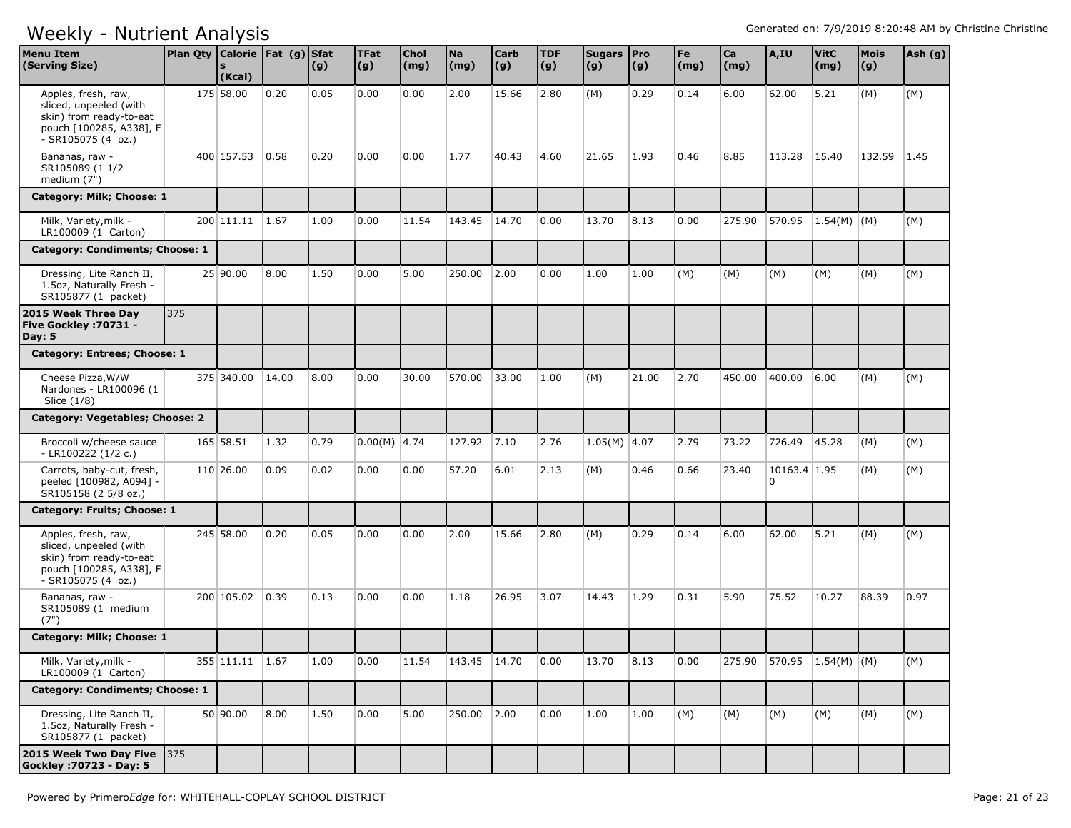| <b>Menu Item</b><br>(Serving Size)                                                                                        | Plan Qty Calorie   Fat (g) Sfat | (Kcal)          |       | (g)  | <b>TFat</b><br>(g) | <b>Chol</b><br>$\mathsf{(mg)}$ | <b>Na</b><br>(mg) | <b>Carb</b><br> (g) | <b>TDF</b><br>(g) | Sugars   Pro<br>(g) | (g)   | Fe<br>$\mathsf{(mg)}$ | Ca<br>(mg) | A,IU                             | <b>VitC</b><br>(mg) | Mois<br>(g) | Ash (g) |
|---------------------------------------------------------------------------------------------------------------------------|---------------------------------|-----------------|-------|------|--------------------|--------------------------------|-------------------|---------------------|-------------------|---------------------|-------|-----------------------|------------|----------------------------------|---------------------|-------------|---------|
| Apples, fresh, raw,<br>sliced, unpeeled (with<br>skin) from ready-to-eat<br>pouch [100285, A338], F<br>$-SR105075(4 oz.)$ |                                 | 175 58.00       | 0.20  | 0.05 | 0.00               | 0.00                           | 2.00              | 15.66               | 2.80              | (M)                 | 0.29  | 0.14                  | 6.00       | 62.00                            | 5.21                | (M)         | (M)     |
| Bananas, raw -<br>SR105089 (1 1/2<br>medium (7")                                                                          |                                 | 400 157.53      | 0.58  | 0.20 | 0.00               | 0.00                           | 1.77              | 40.43               | 4.60              | 21.65               | 1.93  | 0.46                  | 8.85       | 113.28                           | 15.40               | 132.59      | 1.45    |
| Category: Milk; Choose: 1                                                                                                 |                                 |                 |       |      |                    |                                |                   |                     |                   |                     |       |                       |            |                                  |                     |             |         |
| Milk, Variety, milk -<br>LR100009 (1 Carton)                                                                              |                                 | 200 111.11 1.67 |       | 1.00 | 0.00               | 11.54                          | 143.45            | 14.70               | 0.00              | 13.70               | 8.13  | 0.00                  | 275.90     | 570.95                           | 1.54(M)   (M)       |             | (M)     |
| Category: Condiments; Choose: 1                                                                                           |                                 |                 |       |      |                    |                                |                   |                     |                   |                     |       |                       |            |                                  |                     |             |         |
| Dressing, Lite Ranch II,<br>1.5oz, Naturally Fresh -<br>SR105877 (1 packet)                                               |                                 | 25 90.00        | 8.00  | 1.50 | 0.00               | 5.00                           | 250.00            | 2.00                | 0.00              | 1.00                | 1.00  | (M)                   | (M)        | (M)                              | (M)                 | (M)         | (M)     |
| 2015 Week Three Day<br>Five Gockley : 70731 -<br><b>Day: 5</b>                                                            | 375                             |                 |       |      |                    |                                |                   |                     |                   |                     |       |                       |            |                                  |                     |             |         |
| Category: Entrees; Choose: 1                                                                                              |                                 |                 |       |      |                    |                                |                   |                     |                   |                     |       |                       |            |                                  |                     |             |         |
| Cheese Pizza, W/W<br>Nardones - LR100096 (1<br>Slice (1/8)                                                                |                                 | 375 340.00      | 14.00 | 8.00 | 0.00               | 30.00                          | 570.00            | 33.00               | 1.00              | (M)                 | 21.00 | 2.70                  | 450.00     | 400.00                           | 6.00                | (M)         | (M)     |
| Category: Vegetables; Choose: 2                                                                                           |                                 |                 |       |      |                    |                                |                   |                     |                   |                     |       |                       |            |                                  |                     |             |         |
| Broccoli w/cheese sauce<br>$-LR100222(1/2 c.)$                                                                            |                                 | 165 58.51       | 1.32  | 0.79 | $0.00(M)$ 4.74     |                                | 127.92            | 7.10                | 2.76              | $1.05(M)$ 4.07      |       | 2.79                  | 73.22      | 726.49                           | 45.28               | (M)         | (M)     |
| Carrots, baby-cut, fresh,<br>peeled [100982, A094] -<br>SR105158 (2 5/8 oz.)                                              |                                 | 110 26.00       | 0.09  | 0.02 | 0.00               | 0.00                           | 57.20             | 6.01                | 2.13              | (M)                 | 0.46  | 0.66                  | 23.40      | 10163.4 1.95<br>$\overline{0}$   |                     | (M)         | (M)     |
| Category: Fruits; Choose: 1                                                                                               |                                 |                 |       |      |                    |                                |                   |                     |                   |                     |       |                       |            |                                  |                     |             |         |
| Apples, fresh, raw,<br>sliced, unpeeled (with<br>skin) from ready-to-eat<br>pouch [100285, A338], F<br>$-SR105075(4 oz.)$ |                                 | 245 58.00       | 0.20  | 0.05 | 0.00               | 0.00                           | 2.00              | 15.66               | 2.80              | (M)                 | 0.29  | 0.14                  | 6.00       | 62.00                            | 5.21                | (M)         | (M)     |
| Bananas, raw -<br>SR105089 (1 medium<br>(7")                                                                              |                                 | 200 105.02      | 0.39  | 0.13 | 0.00               | 0.00                           | 1.18              | 26.95               | 3.07              | 14.43               | 1.29  | 0.31                  | 5.90       | 75.52                            | 10.27               | 88.39       | 0.97    |
| Category: Milk; Choose: 1                                                                                                 |                                 |                 |       |      |                    |                                |                   |                     |                   |                     |       |                       |            |                                  |                     |             |         |
| Milk, Variety, milk -<br>LR100009 (1 Carton)                                                                              |                                 | 355 111.11 1.67 |       | 1.00 | 0.00               | 11.54                          | 143.45   14.70    |                     | 0.00              | 13.70               | 8.13  | 0.00                  |            | 275.90   570.95   1.54(M) $ (M)$ |                     |             | (M)     |
| <b>Category: Condiments; Choose: 1</b>                                                                                    |                                 |                 |       |      |                    |                                |                   |                     |                   |                     |       |                       |            |                                  |                     |             |         |
| Dressing, Lite Ranch II,<br>1.5oz, Naturally Fresh -<br>SR105877 (1 packet)                                               |                                 | 50 90.00        | 8.00  | 1.50 | 0.00               | 5.00                           | 250.00            | 2.00                | 0.00              | 1.00                | 1.00  | (M)                   | (M)        | (M)                              | (M)                 | (M)         | (M)     |
| 2015 Week Two Day Five 375<br>Gockley : 70723 - Day: 5                                                                    |                                 |                 |       |      |                    |                                |                   |                     |                   |                     |       |                       |            |                                  |                     |             |         |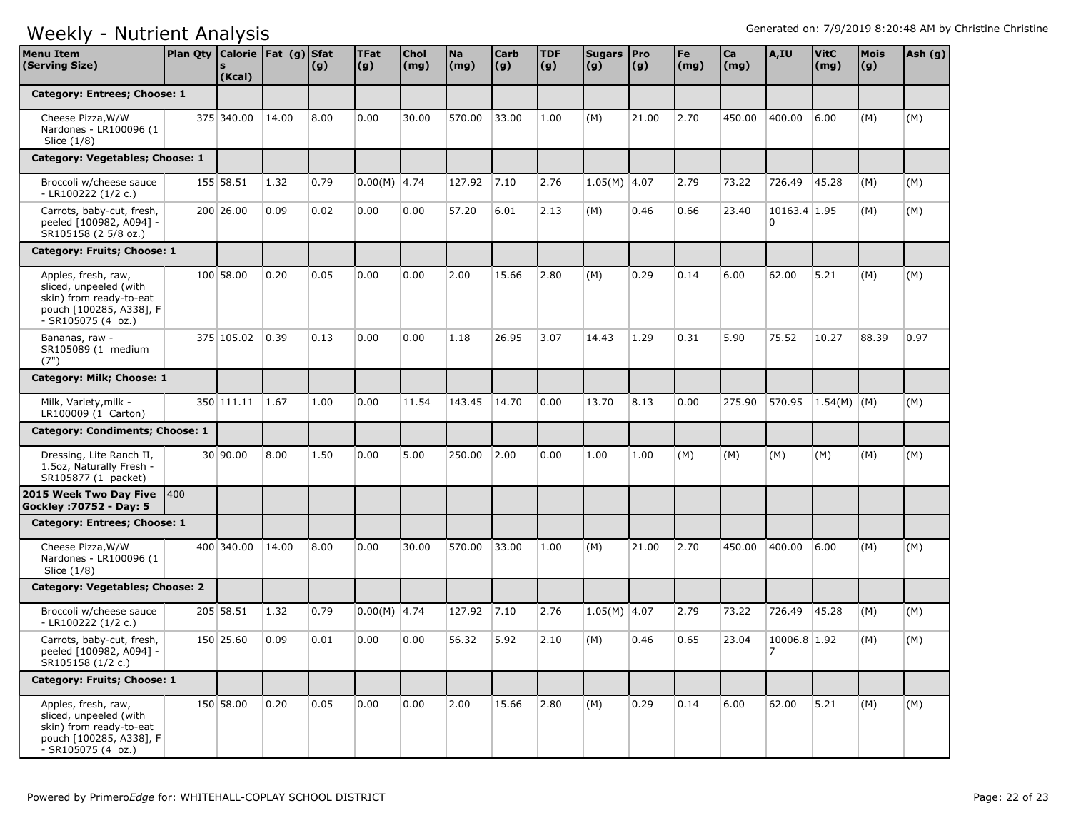| <b>Menu Item</b><br>(Serving Size)                                                                                        | Plan Qty   Calorie   Fat (g)   Sfat | (Kcal)     |       | (g)  | <b>TFat</b><br> (g) | <b>Chol</b><br>$\mathsf{(mg)}$ | <b>Na</b><br>(mg) | <b>Carb</b><br> (g) | <b>TDF</b><br>(g) | Sugars   Pro<br>(g) | (g)   | Fe<br>(mg) | Ca<br>(mg) | A,IU              | <b>VitC</b><br>(mg) | <b>Mois</b><br>(g) | Ash (g) |
|---------------------------------------------------------------------------------------------------------------------------|-------------------------------------|------------|-------|------|---------------------|--------------------------------|-------------------|---------------------|-------------------|---------------------|-------|------------|------------|-------------------|---------------------|--------------------|---------|
| Category: Entrees; Choose: 1                                                                                              |                                     |            |       |      |                     |                                |                   |                     |                   |                     |       |            |            |                   |                     |                    |         |
| Cheese Pizza, W/W<br>Nardones - LR100096 (1<br>Slice (1/8)                                                                |                                     | 375 340.00 | 14.00 | 8.00 | 0.00                | 30.00                          | 570.00            | 33.00               | 1.00              | (M)                 | 21.00 | 2.70       | 450.00     | 400.00            | 6.00                | (M)                | (M)     |
| Category: Vegetables; Choose: 1                                                                                           |                                     |            |       |      |                     |                                |                   |                     |                   |                     |       |            |            |                   |                     |                    |         |
| Broccoli w/cheese sauce<br>- LR100222 $(1/2 c.)$                                                                          |                                     | 155 58.51  | 1.32  | 0.79 | $0.00(M)$ 4.74      |                                | 127.92            | 7.10                | 2.76              | $1.05(M)$ 4.07      |       | 2.79       | 73.22      | 726.49            | 45.28               | (M)                | (M)     |
| Carrots, baby-cut, fresh,<br>peeled [100982, A094] -<br>SR105158 (2 5/8 oz.)                                              |                                     | 200 26.00  | 0.09  | 0.02 | 0.00                | 0.00                           | 57.20             | 6.01                | 2.13              | (M)                 | 0.46  | 0.66       | 23.40      | 10163.4 1.95<br>0 |                     | (M)                | (M)     |
| Category: Fruits; Choose: 1                                                                                               |                                     |            |       |      |                     |                                |                   |                     |                   |                     |       |            |            |                   |                     |                    |         |
| Apples, fresh, raw,<br>sliced, unpeeled (with<br>skin) from ready-to-eat<br>pouch [100285, A338], F<br>$-SR105075(4 oz.)$ |                                     | 100 58.00  | 0.20  | 0.05 | 0.00                | 0.00                           | 2.00              | 15.66               | 2.80              | (M)                 | 0.29  | 0.14       | 6.00       | 62.00             | 5.21                | (M)                | (M)     |
| Bananas, raw -<br>SR105089 (1 medium<br>(7")                                                                              |                                     | 375 105.02 | 0.39  | 0.13 | 0.00                | 0.00                           | 1.18              | 26.95               | 3.07              | 14.43               | 1.29  | 0.31       | 5.90       | 75.52             | 10.27               | 88.39              | 0.97    |
| Category: Milk; Choose: 1                                                                                                 |                                     |            |       |      |                     |                                |                   |                     |                   |                     |       |            |            |                   |                     |                    |         |
| Milk, Variety, milk -<br>LR100009 (1 Carton)                                                                              |                                     | 350 111.11 | 1.67  | 1.00 | 0.00                | 11.54                          | 143.45            | 14.70               | 0.00              | 13.70               | 8.13  | 0.00       | 275.90     | 570.95            | $1.54(M)$ (M)       |                    | (M)     |
| Category: Condiments; Choose: 1                                                                                           |                                     |            |       |      |                     |                                |                   |                     |                   |                     |       |            |            |                   |                     |                    |         |
| Dressing, Lite Ranch II,<br>1.5oz, Naturally Fresh -<br>SR105877 (1 packet)                                               |                                     | 30 90.00   | 8.00  | 1.50 | 0.00                | 5.00                           | 250.00            | 2.00                | 0.00              | 1.00                | 1.00  | (M)        | (M)        | (M)               | (M)                 | (M)                | (M)     |
| 2015 Week Two Day Five<br>Gockley: 70752 - Day: 5                                                                         | 1400                                |            |       |      |                     |                                |                   |                     |                   |                     |       |            |            |                   |                     |                    |         |
| Category: Entrees; Choose: 1                                                                                              |                                     |            |       |      |                     |                                |                   |                     |                   |                     |       |            |            |                   |                     |                    |         |
| Cheese Pizza, W/W<br>Nardones - LR100096 (1<br>Slice (1/8)                                                                |                                     | 400 340.00 | 14.00 | 8.00 | 0.00                | 30.00                          | 570.00            | 33.00               | 1.00              | (M)                 | 21.00 | 2.70       | 450.00     | 400.00            | 6.00                | (M)                | (M)     |
| Category: Vegetables; Choose: 2                                                                                           |                                     |            |       |      |                     |                                |                   |                     |                   |                     |       |            |            |                   |                     |                    |         |
| Broccoli w/cheese sauce<br>- LR100222 (1/2 c.)                                                                            |                                     | 205 58.51  | 1.32  | 0.79 | $0.00(M)$ 4.74      |                                | 127.92            | 7.10                | 2.76              | $1.05(M)$ 4.07      |       | 2.79       | 73.22      | 726.49            | 45.28               | (M)                | (M)     |
| Carrots, baby-cut, fresh,<br>peeled [100982, A094] -<br>SR105158 (1/2 c.)                                                 |                                     | 150 25.60  | 0.09  | 0.01 | 0.00                | 0.00                           | 56.32             | 5.92                | 2.10              | (M)                 | 0.46  | 0.65       | 23.04      | 10006.8 1.92<br>7 |                     | (M)                | (M)     |
| Category: Fruits; Choose: 1                                                                                               |                                     |            |       |      |                     |                                |                   |                     |                   |                     |       |            |            |                   |                     |                    |         |
| Apples, fresh, raw,<br>sliced, unpeeled (with<br>skin) from ready-to-eat<br>pouch [100285, A338], F<br>- SR105075 (4 oz.) |                                     | 150 58.00  | 0.20  | 0.05 | 0.00                | 0.00                           | 2.00              | 15.66               | 2.80              | (M)                 | 0.29  | 0.14       | 6.00       | 62.00             | 5.21                | (M)                | (M)     |